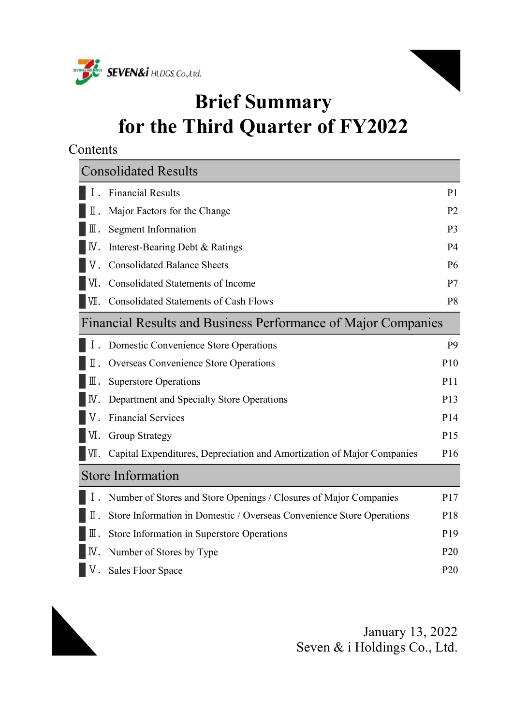



# Brief Summary for the Third Quarter of FY2022

Contents

|      | <b>Consolidated Results</b>                                            |                 |
|------|------------------------------------------------------------------------|-----------------|
|      | <b>Financial Results</b>                                               | P <sub>1</sub>  |
| Π.   | Major Factors for the Change                                           | P <sub>2</sub>  |
| Ⅲ.   | <b>Segment Information</b>                                             | P <sub>3</sub>  |
| IV.  | Interest-Bearing Debt & Ratings                                        | P <sub>4</sub>  |
|      | <b>Consolidated Balance Sheets</b>                                     | P <sub>6</sub>  |
| VI.  | <b>Consolidated Statements of Income</b>                               | P7              |
| V∐.  | Consolidated Statements of Cash Flows                                  | P <sub>8</sub>  |
|      | Financial Results and Business Performance of Major Companies          |                 |
|      | Domestic Convenience Store Operations                                  | P <sub>9</sub>  |
| Π.   | <b>Overseas Convenience Store Operations</b>                           | P <sub>10</sub> |
| Ш.   | <b>Superstore Operations</b>                                           | P11             |
| IV.  | Department and Specialty Store Operations                              | P <sub>13</sub> |
|      | <b>Financial Services</b>                                              | P14             |
| VI.  | <b>Group Strategy</b>                                                  | P15             |
| VII. | Capital Expenditures, Depreciation and Amortization of Major Companies | P <sub>16</sub> |
|      | <b>Store Information</b>                                               |                 |
|      | Number of Stores and Store Openings / Closures of Major Companies      | P17             |
| Π.   | Store Information in Domestic / Overseas Convenience Store Operations  | P <sub>18</sub> |
| Ⅲ.   | Store Information in Superstore Operations                             | P <sub>19</sub> |
| IV.  | Number of Stores by Type                                               | P <sub>20</sub> |
| V.   | <b>Sales Floor Space</b>                                               | P <sub>20</sub> |

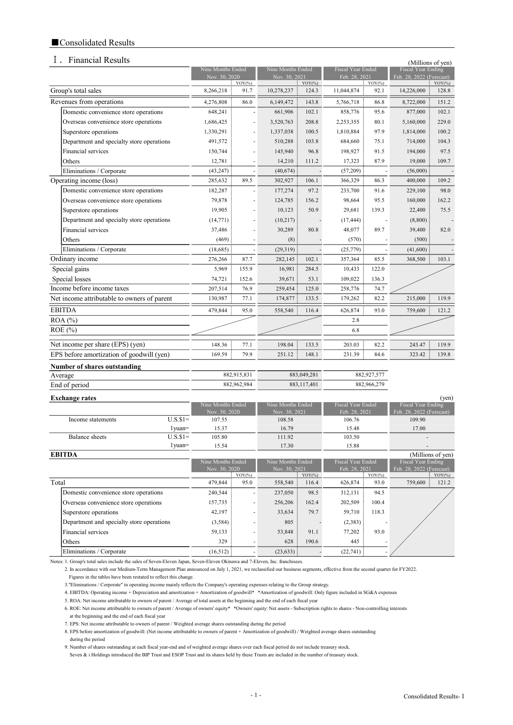### ■Consolidated Results

#### I. Financial Results (Millions of  $\alpha$ )

|                                             |                                    |                 |                                    |             |                                           |                      |                                                       | ( <i>i</i> vilihons of yen) |
|---------------------------------------------|------------------------------------|-----------------|------------------------------------|-------------|-------------------------------------------|----------------------|-------------------------------------------------------|-----------------------------|
|                                             | Nine Months Ended<br>Nov. 30, 2020 |                 | Nine Months Ended<br>Nov. 30, 2021 |             | <b>Fiscal Year Ended</b><br>Feb. 28, 2021 |                      | <b>Fiscal Year Ending</b><br>Feb. 28, 2022 (Forecast) |                             |
|                                             |                                    | $\colon$ YOY(%) |                                    | $YOY$ (%)   |                                           | $\frac{1}{2}$ YOY(%) |                                                       | $YOY$ (%)                   |
| Group's total sales                         | 8,266,218                          | 91.7            | 10,278,237                         | 124.3       | 11,044,874                                | 92.1                 | 14,226,000                                            | 128.8                       |
| Revenues from operations                    | 4,276,808                          | 86.0            | 6,149,472                          | 143.8       | 5,766,718                                 | 86.8                 | 8,722,000                                             | 151.2                       |
| Domestic convenience store operations       | 648,241                            |                 | 661,906                            | 102.1       | 858,776                                   | 95.6                 | 877,000                                               | 102.1                       |
| Overseas convenience store operations       | 1,686,425                          |                 | 3,520,763                          | 208.8       | 2,253,355                                 | 80.1                 | 5,160,000                                             | 229.0                       |
| Superstore operations                       | 1,330,291                          |                 | 1,337,038                          | 100.5       | 1,810,884                                 | 97.9                 | 1,814,000                                             | 100.2                       |
| Department and specialty store operations   | 491,572                            |                 | 510,288                            | 103.8       | 684,660                                   | 75.1                 | 714,000                                               | 104.3                       |
| Financial services                          | 150,744                            |                 | 145,940                            | 96.8        | 198,927                                   | 91.5                 | 194,000                                               | 97.5                        |
| Others                                      | 12,781                             |                 | 14,210                             | 111.2       | 17,323                                    | 87.9                 | 19,000                                                | 109.7                       |
| Eliminations / Corporate                    | (43, 247)                          |                 | (40,674)                           |             | (57,209)                                  |                      | (56,000)                                              |                             |
| Operating income (loss)                     | 285,632                            | 89.5            | 302,927                            | 106.1       | 366,329                                   | 86.3                 | 400,000                                               | 109.2                       |
| Domestic convenience store operations       | 182,287                            |                 | 177,274                            | 97.2        | 233,700                                   | 91.6                 | 229,100                                               | 98.0                        |
| Overseas convenience store operations       | 79,878                             |                 | 124,785                            | 156.2       | 98,664                                    | 95.5                 | 160,000                                               | 162.2                       |
| Superstore operations                       | 19,905                             |                 | 10,123                             | 50.9        | 29,681                                    | 139.3                | 22,400                                                | 75.5                        |
| Department and specialty store operations   | (14, 771)                          |                 | (10,217)                           |             | (17, 444)                                 |                      | (8,800)                                               |                             |
| Financial services                          | 37,486                             |                 | 30,289                             | 80.8        | 48,077                                    | 89.7                 | 39,400                                                | 82.0                        |
| Others                                      | (469)                              |                 | (8)                                |             | (570)                                     |                      | (500)                                                 |                             |
| Eliminations / Corporate                    | (18,685)                           |                 | (29,319)                           |             | (25,779)                                  |                      | (41,600)                                              |                             |
| Ordinary income                             | 276,266                            | 87.7            | 282,145                            | 102.1       | 357,364                                   | 85.5                 | 368,500                                               | 103.1                       |
| Special gains                               | 5,969                              | 155.9           | 16,981                             | 284.5       | 10,433                                    | 122.0                |                                                       |                             |
| Special losses                              | 74,721                             | 152.6           | 39,671                             | 53.1        | 109,022                                   | 136.3                |                                                       |                             |
| Income before income taxes                  | 207,514                            | 76.9            | 259,454                            | 125.0       | 258,776                                   | 74.7                 |                                                       |                             |
| Net income attributable to owners of parent | 130,987                            | 77.1            | 174,877                            | 133.5       | 179,262                                   | 82.2                 | 215,000                                               | 119.9                       |
| <b>EBITDA</b>                               | 479,844                            | 95.0            | 558,540                            | 116.4       | 626,874                                   | 93.0                 | 759,600                                               | 121.2                       |
| ROA (%)                                     |                                    |                 |                                    |             | 2.8                                       |                      |                                                       |                             |
| ROE (%)                                     |                                    |                 |                                    |             | 6.8                                       |                      |                                                       |                             |
| Net income per share (EPS) (yen)            | 148.36                             | 77.1            | 198.04                             | 133.5       | 203.03                                    | 82.2                 | 243.47                                                | 119.9                       |
| EPS before amortization of goodwill (yen)   | 169.59                             | 79.9            | 251.12                             | 148.1       | 231.39                                    | 84.6                 | 323.42                                                | 139.8                       |
| <b>Number of shares outstanding</b>         |                                    |                 |                                    |             |                                           |                      |                                                       |                             |
| Average                                     |                                    | 882,915,831     |                                    | 883,049,281 |                                           | 882,927,577          |                                                       |                             |
| End of period                               |                                    | 882,962,984     |                                    | 883,117,401 |                                           | 882,966,279          |                                                       |                             |
| <b>Exchange rates</b>                       |                                    |                 |                                    |             |                                           |                      |                                                       | (ven)                       |

| L'Athangt raits   |            |                   |                   |                   | $\cdots$                 |
|-------------------|------------|-------------------|-------------------|-------------------|--------------------------|
|                   |            | Nine Months Ended | Nine Months Ended | Fiscal Year Ended | Fiscal Year Ending       |
|                   |            | Nov. 30, 2020     | Nov. 30, 2021     | Feb. 28, 2021     | Feb. 28, 2022 (Forecast) |
| Income statements | $U.S.S.1=$ | 107.55            | 108.58            | 106.76            | 109.90                   |
|                   | l vuan≕    | 15.37             | 16.79             | 15.48             | 17.00                    |
| Balance sheets    | $U.S.S1=$  | 105.80            | 111.92            | 103.50            | $\,$                     |
|                   | l vuan=    | 15.54             | 17.30             | 15.88             | $\sim$                   |

| <b>EBITDA</b>                             |                   |           |                   |           |                   |           | (Millions of yen)        |
|-------------------------------------------|-------------------|-----------|-------------------|-----------|-------------------|-----------|--------------------------|
|                                           | Nine Months Ended |           | Nine Months Ended |           | Fiscal Year Ended |           | Fiscal Year Ending       |
|                                           | Nov. 30, 2020     |           | Nov. 30, 2021     |           | Feb. 28, 2021     |           | Feb. 28, 2022 (Forecast) |
|                                           |                   | $YOY$ (%) |                   | $YOY$ (%) |                   | $YOY$ (%) | $YOY$ (%)                |
| Total                                     | 479,844           | 95.0      | 558,540           | 116.4     | 626,874           | 93.0      | 121.2<br>759,600         |
| Domestic convenience store operations     | 240,544           |           | 237,050           | 98.5      | 312,131           | 94.5      |                          |
| Overseas convenience store operations     | 157,735           |           | 256,206           | 162.4     | 202,509           | 100.4     |                          |
| Superstore operations                     | 42,197            |           | 33,634            | 79.7      | 59,710            | 118.3     |                          |
| Department and specialty store operations | (3,584)           |           | 805               |           | (2,383)           |           |                          |
| Financial services                        | 59,133            |           | 53,848            | 91.1      | 77,202            | 93.0      |                          |
| <b>Others</b>                             | 329               |           | 628               | 190.6     | 445               |           |                          |
| Eliminations / Corporate                  | $(16,512)$ :      |           | (23, 633)         |           | (22, 741)         |           |                          |

Notes: 1. Group's total sales include the sales of Seven-Eleven Japan, Seven-Eleven Okinawa and 7-Eleven, Inc. franchisees.

2. In accordance with our Medium-Term Management Plan announced on July 1, 2021, we reclassified our business segments, effective from the second quarter for FY2022.

Figures in the tables have been restated to reflect this change.

3. "Eliminations / Corporate" in operating income mainly reflects the Company's operating expenses relating to the Group strategy.

Notes: 4. EBITDA: Operating income + Depreciation and amortization + Amortization of goodwill\* \*Amortization of goodwill: Only figure included in SG&A expenses

5. ROA: Net income attributable to owners of parent / Average of total assets at the beginning and the end of each fiscal year

Notes: 6. ROE: Net income attributable to owners of parent / Average of owners' equity\* \*Owners' equity: Net assets - Subscription rights to shares - Non-controlling interests at the beginning and the end of each fiscal year

7. EPS: Net income attributable to owners of parent / Weighted average shares outstanding during the period

8. EPS before amortization of goodwill: (Net income attributable to owners of parent + Amortization of goodwill) / Weighted average shares outstanding during the period

9. Number of shares outstanding at each fiscal year-end and of weighted average shares over each fiscal period do not include treasury stock.

Seven & i Holdings introduced the BIP Trust and ESOP Trust and its shares held by these Trusts are included in the number of treasury stock.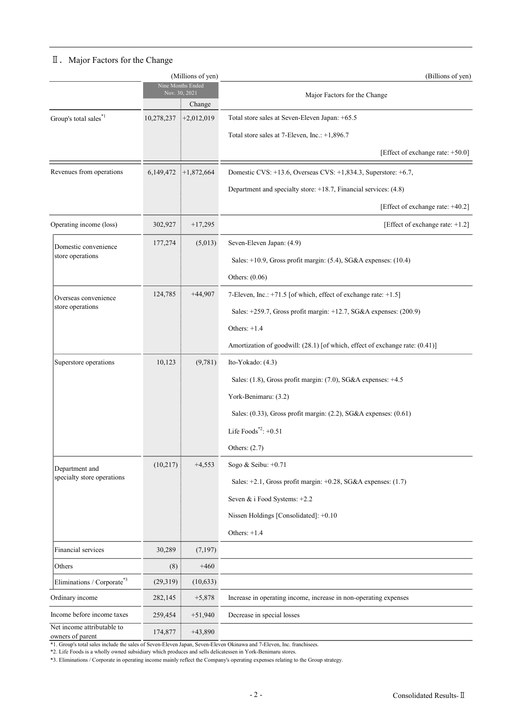## Ⅱ.Major Factors for the Change

| (Millions of yen)                              |            |                                              | (Billions of yen)                                                            |
|------------------------------------------------|------------|----------------------------------------------|------------------------------------------------------------------------------|
|                                                |            | Nine Months Ended<br>Nov. 30, 2021<br>Change | Major Factors for the Change                                                 |
| Group's total $\text{sales}^{*1}$              | 10,278,237 | $+2,012,019$                                 | Total store sales at Seven-Eleven Japan: +65.5                               |
|                                                |            |                                              | Total store sales at 7-Eleven, Inc.: +1,896.7                                |
|                                                |            |                                              | [Effect of exchange rate: +50.0]                                             |
| Revenues from operations                       |            | $6,149,472$ $+1,872,664$                     | Domestic CVS: +13.6, Overseas CVS: +1,834.3, Superstore: +6.7,               |
|                                                |            |                                              | Department and specialty store: $+18.7$ , Financial services: $(4.8)$        |
|                                                |            |                                              | [Effect of exchange rate: +40.2]                                             |
| Operating income (loss)                        | 302,927    | $+17,295$                                    | [Effect of exchange rate: +1.2]                                              |
| Domestic convenience                           | 177,274    | (5,013)                                      | Seven-Eleven Japan: (4.9)                                                    |
| store operations                               |            |                                              | Sales: $+10.9$ , Gross profit margin: (5.4), SG&A expenses: (10.4)           |
|                                                |            |                                              | Others: (0.06)                                                               |
| Overseas convenience                           | 124,785    | $+44,907$                                    | 7-Eleven, Inc.: +71.5 [of which, effect of exchange rate: +1.5]              |
| store operations                               |            |                                              | Sales: +259.7, Gross profit margin: +12.7, SG&A expenses: (200.9)            |
|                                                |            |                                              | Others: $+1.4$                                                               |
|                                                |            |                                              | Amortization of goodwill: (28.1) [of which, effect of exchange rate: (0.41)] |
| Superstore operations                          | 10,123     | (9,781)                                      | Ito-Yokado: (4.3)                                                            |
|                                                |            |                                              | Sales: (1.8), Gross profit margin: (7.0), SG&A expenses: +4.5                |
|                                                |            |                                              | York-Benimaru: (3.2)                                                         |
|                                                |            |                                              | Sales: $(0.33)$ , Gross profit margin: $(2.2)$ , SG&A expenses: $(0.61)$     |
|                                                |            |                                              | Life Foods $^{*2}:+0.51$                                                     |
|                                                |            |                                              | Others: $(2.7)$                                                              |
| Department and                                 | (10,217)   | $+4,553$                                     | Sogo & Seibu: +0.71                                                          |
| specialty store operations                     |            |                                              | Sales: $+2.1$ , Gross profit margin: $+0.28$ , SG&A expenses: (1.7)          |
|                                                |            |                                              | Seven & i Food Systems: +2.2                                                 |
|                                                |            |                                              | Nissen Holdings [Consolidated]: +0.10                                        |
|                                                |            |                                              | Others: $+1.4$                                                               |
| Financial services                             | 30,289     | (7, 197)                                     |                                                                              |
| Others                                         | (8)        | $+460$                                       |                                                                              |
| Eliminations / Corporate*3                     | (29,319)   | (10,633)                                     |                                                                              |
| Ordinary income                                | 282,145    | $+5,878$                                     | Increase in operating income, increase in non-operating expenses             |
| Income before income taxes                     | 259,454    | $+51,940$                                    | Decrease in special losses                                                   |
| Net income attributable to<br>owners of parent | 174,877    | $+43,890$                                    |                                                                              |

\*1. Group's total sales include the sales of Seven-Eleven Japan, Seven-Eleven Okinawa and 7-Eleven, Inc. franchisees.

\*2. Life Foods is a wholly owned subsidiary which produces and sells delicatessen in York-Benimaru stores.

\*3. Eliminations / Corporate in operating income mainly reflect the Company's operating expenses relating to the Group strategy.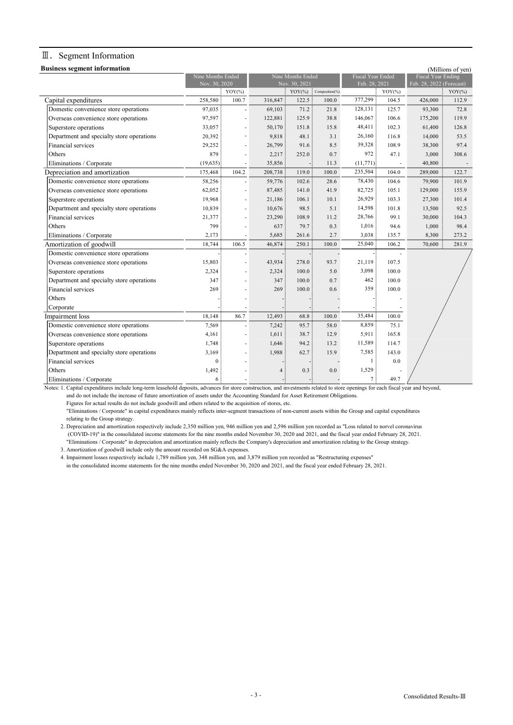### Ⅲ.Segment Information

|  | <b>Business segment information</b> |  |
|--|-------------------------------------|--|

| <b>Business segment information</b>       |                   |                    |                   |                                           |       |                          |                           |                          | (Millions of yen) |
|-------------------------------------------|-------------------|--------------------|-------------------|-------------------------------------------|-------|--------------------------|---------------------------|--------------------------|-------------------|
|                                           | Nine Months Ended |                    | Nine Months Ended |                                           |       | <b>Fiscal Year Ended</b> | <b>Fiscal Year Ending</b> |                          |                   |
|                                           | Nov. 30, 2020     |                    |                   | Nov. 30, 2021<br>$YOY(\%)$ Composition(%) |       |                          | Feb. 28, 2021             | Feb. 28, 2022 (Forecast) |                   |
|                                           |                   | $YOY$ (%)<br>100.7 |                   | 122.5                                     |       | 377,299                  | $YOY$ (%)<br>104.5        |                          | $YOY$ (%)         |
| Capital expenditures                      | 258,580           |                    | 316,847           |                                           | 100.0 |                          |                           | 426,000                  | 112.9             |
| Domestic convenience store operations     | 97,035            |                    | 69,103            | 71.2                                      | 21.8  | 128,131                  | 125.7                     | 93,300                   | 72.8              |
| Overseas convenience store operations     | 97,597            | L,                 | 122,881           | 125.9                                     | 38.8  | 146,067                  | 106.6                     | 175,200                  | 119.9             |
| Superstore operations                     | 33,057            |                    | 50,170            | 151.8                                     | 15.8  | 48,411                   | 102.3                     | 61,400                   | 126.8             |
| Department and specialty store operations | 20,392            | L,                 | 9,818             | 48.1                                      | 3.1   | 26,160                   | 116.8                     | 14,000                   | 53.5              |
| Financial services                        | 29,252            | L,                 | 26,799            | 91.6                                      | 8.5   | 39,328                   | 108.9                     | 38,300                   | 97.4              |
| Others                                    | 879               |                    | 2,217             | 252.0                                     | 0.7   | 972:                     | 47.1                      | 3,000                    | 308.6             |
| Eliminations / Corporate                  | (19,635)          |                    | 35,856            |                                           | 11.3  | (11, 771)                | ä,                        | 40,800                   |                   |
| Depreciation and amortization             | 175,468           | 104.2              | 208,738           | 119.0                                     | 100.0 | 235,504                  | 104.0                     | 289,000                  | 122.7             |
| Domestic convenience store operations     | 58,256            |                    | 59,776            | 102.6                                     | 28.6  | 78,430                   | 104.6                     | 79,900                   | 101.9             |
| Overseas convenience store operations     | 62,052            | i.                 | 87,485            | 141.0                                     | 41.9  | 82,725                   | 105.1                     | 129,000                  | 155.9             |
| Superstore operations                     | 19,968            | L,                 | 21,186            | 106.1                                     | 10.1  | 26,929                   | 103.3                     | 27,300                   | 101.4             |
| Department and specialty store operations | 10,839            | L,                 | 10,676            | 98.5                                      | 5.1   | 14,598                   | 101.8                     | 13,500                   | 92.5              |
| Financial services                        | 21,377            | L,                 | 23,290            | 108.9                                     | 11.2  | 28,766                   | 99.1                      | 30,000                   | 104.3             |
| Others                                    | 799               | L,                 | 637:              | 79.7                                      | 0.3   | 1,016                    | 94.6                      | 1,000                    | 98.4              |
| Eliminations / Corporate                  | 2,173             |                    | 5,685             | 261.6                                     | 2.7   | 3,038                    | 135.7                     | 8,300                    | 273.2             |
| Amortization of goodwill                  | 18,744            | 106.5              | 46,874            | 250.1                                     | 100.0 | 25,040                   | 106.2                     | 70,600                   | 281.9             |
| Domestic convenience store operations     |                   |                    |                   |                                           |       |                          |                           |                          |                   |
| Overseas convenience store operations     | 15,803            |                    | 43,934            | 278.0                                     | 93.7  | 21,119                   | 107.5                     |                          |                   |
| Superstore operations                     | 2,324             |                    | 2,324             | 100.0                                     | 5.0   | 3,098                    | 100.0                     |                          |                   |
| Department and specialty store operations | 347               |                    | 347               | 100.0                                     | 0.7   | 462                      | 100.0                     |                          |                   |
| Financial services                        | 269               |                    | 269               | 100.0                                     | 0.6   | 359                      | 100.0                     |                          |                   |
| Others                                    |                   |                    |                   |                                           |       |                          |                           |                          |                   |
| Corporate                                 |                   |                    |                   |                                           |       |                          |                           |                          |                   |
| Impairment loss                           | 18,148            | 86.7               | 12,493            | 68.8                                      | 100.0 | 35,484                   | 100.0                     |                          |                   |
| Domestic convenience store operations     | 7,569             |                    | 7,242             | 95.7                                      | 58.0  | 8,859                    | 75.1                      |                          |                   |
| Overseas convenience store operations     | 4,161             |                    | 1,611             | 38.7                                      | 12.9  | 5,911                    | 165.8                     |                          |                   |
| Superstore operations                     | 1,748             |                    | 1,646             | 94.2                                      | 13.2  | 11,589                   | 114.7                     |                          |                   |
| Department and specialty store operations | 3,169             |                    | 1,988             | 62.7                                      | 15.9  | 7,585                    | 143.0                     |                          |                   |
| Financial services                        | $\overline{0}$    |                    |                   |                                           |       | $\mathbf{1}$             | 0.0                       |                          |                   |
| Others                                    | 1,492             |                    | 4:                | 0.3                                       | 0.0   | 1,529                    |                           |                          |                   |
| Eliminations / Corporate                  | 6 :               |                    |                   |                                           |       | 7 !                      | 49.7                      |                          |                   |

Notes: 1. Capital expenditures include long-term leasehold deposits, advances for store construction, and investments related to store openings for each fiscal year and beyond, and do not include the increase of future amortization of assets under the Accounting Standard for Asset Retirement Obligations.

Figures for actual results do not include goodwill and others related to the acquisition of stores, etc.

Notes: 2. "Eliminations / Corporate" in capital expenditures mainly reflects inter-segment transactions of non-current assets within the Group and capital expenditures relating to the Group strategy.

2. Depreciation and amortization respectively include 2,350 million yen, 946 million yen and 2,596 million yen recorded as "Loss related to norvel coronavirus Notes: 4. (COVID-19)" in the consolidated income statements for the nine months ended November 30, 2020 and 2021, and the fiscal year ended February 28, 2021. "Eliminations / Corporate" in depreciation and amortization mainly reflects the Company's depreciation and amortization relating to the Group strategy. 3. Amortization of goodwill include only the amount recorded on SG&A expenses.

Notes: 4. Impairment losses respectively include 1,789 million yen, 348 million yen, and 3,879 million yen recorded as "Restructuring expenses"

in the consolidated income statements for the nine months ended November 30, 2020 and 2021, and the fiscal year ended February 28, 2021.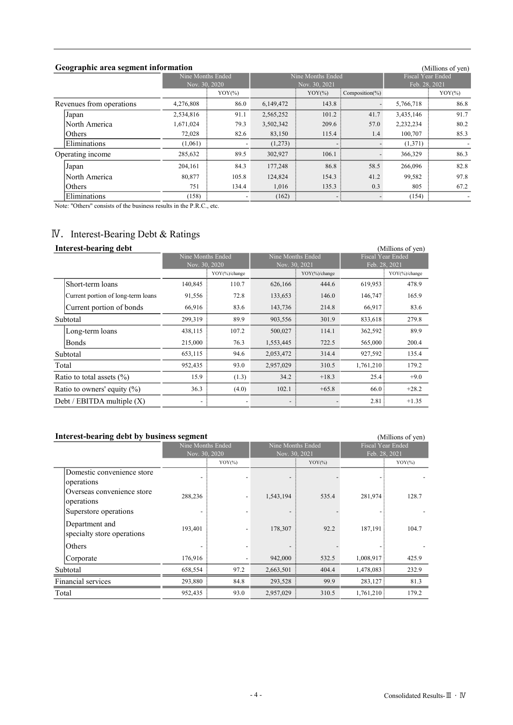### Geographic area segment information

YOY(%) YOY(%) Composition(%) YOY(%) YOY(%) Revenues from operations  $\overline{4,276,808}$   $\overline{86.0}$   $\overline{6,149,472}$   $\overline{143.8}$   $\overline{5,766,718}$   $\overline{86.8}$ Japan 2,534,816 91.1 2,565,252 101.2 41.7 3,435,146 91.7 North America 1,671,024 79.3 3,502,342 209.6 57.0 2,232,234 80.2 Others 72,028 82.6 83,150 115.4 1.4 100,707 85.3 Eliminations (1,061)  $\begin{bmatrix} 1,061 \end{bmatrix}$  - (1,273)  $\begin{bmatrix} 1,273 \end{bmatrix}$  - (1,371) Operating income 285,632 89.5 302,927 106.1 366,329 366,329  $\text{Japan} \quad 204,161 \quad \text{\textcolor{red}{\big|}} \quad 84.3 \quad 177,248 \quad \text{\textcolor{red}{\big|}} \quad 86.8 \quad \text{\textcolor{red}{\big|}} \quad 58.5 \quad 266,096 \quad \text{\textcolor{red}{\big|}} \quad 82.8$ **North America** 80,877 **105.8 124,824** 154.3 41.2 99,582 97.8 Others 2015 134.4 1,016 135.3 0.3 805 67.2 Eliminations (158)  $(158)$  - (162)  $(162)$  - (154)  $-$  (154) Nine Months Ended Nine Months Ended (Millions of yen)<br>Fiscal Year Ended

Note: "Others" consists of the business results in the P.R.C., etc.

### Ⅳ.Interest-Bearing Debt & Ratings

#### Interest-bearing debt (Millions of yen)

| THIEL CSU-DUALING UCDU         |                                    |                   |       |                   |         |                   | (1011111011301110111) |  |
|--------------------------------|------------------------------------|-------------------|-------|-------------------|---------|-------------------|-----------------------|--|
|                                |                                    | Nine Months Ended |       | Nine Months Ended |         | Fiscal Year Ended |                       |  |
|                                |                                    | Nov. 30, 2020     |       | Nov. 30, 2021     |         | Feb. 28, 2021     |                       |  |
|                                |                                    | YOY(%)/change     |       | YOY(%)/change     |         |                   | YOY(%)/change         |  |
|                                | Short-term loans                   | 140,845           | 110.7 | 626,166           | 444.6   | 619,953           | 478.9                 |  |
|                                | Current portion of long-term loans | 91,556            | 72.8  | 133,653           | 146.0   | 146,747           | 165.9                 |  |
|                                | Current portion of bonds           | 66,916            | 83.6  | 143,736           | 214.8   | 66,917            | 83.6                  |  |
| Subtotal                       |                                    | 299,319           | 89.9  | 903,556           | 301.9   | 833,618           | 279.8                 |  |
|                                | Long-term loans                    | 438,115           | 107.2 | 500,027           | 114.1   | 362,592           | 89.9                  |  |
|                                | <b>Bonds</b>                       | 215,000           | 76.3  | 1,553,445         | 722.5   | 565,000           | 200.4                 |  |
|                                | Subtotal                           | 653,115           | 94.6  | 2,053,472         | 314.4   | 927,592           | 135.4                 |  |
|                                | Total                              | 952,435           | 93.0  | 2,957,029         | 310.5   | 1,761,210         | 179.2                 |  |
| Ratio to total assets $(\% )$  |                                    | 15.9              | (1.3) | 34.2              | $+18.3$ | 25.4              | $+9.0$                |  |
| Ratio to owners' equity $(\%)$ |                                    | 36.3              | (4.0) | 102.1             | $+65.8$ | 66.0              | $+28.2$               |  |
| Debt / EBITDA multiple $(X)$   |                                    |                   |       |                   |         | 2.81              | $+1.35$               |  |

### Interest-bearing debt by business segment (Millions of yen)

|       | o<br>$\checkmark$          | -                 |           |                   |           |                   |           |  |
|-------|----------------------------|-------------------|-----------|-------------------|-----------|-------------------|-----------|--|
|       |                            | Nine Months Ended |           | Nine Months Ended |           | Fiscal Year Ended |           |  |
|       |                            | Nov. 30, 2020     |           | Nov. 30, 2021     |           | Feb. 28, 2021     |           |  |
|       |                            |                   | $YOY$ (%) |                   | $YOY$ (%) |                   | $YOY$ (%) |  |
|       | Domestic convenience store |                   |           |                   |           |                   |           |  |
|       | operations                 |                   |           |                   |           |                   |           |  |
|       | Overseas convenience store | 288,236           |           | 1,543,194         | 535.4     | 281,974           | 128.7     |  |
|       | operations                 |                   |           |                   |           |                   |           |  |
|       | Superstore operations      |                   |           |                   |           |                   |           |  |
|       | Department and             |                   |           |                   |           |                   |           |  |
|       | specialty store operations | 193,401           |           | 178,307           | 92.2      | 187,191           | 104.7     |  |
|       | Others                     |                   |           |                   |           |                   |           |  |
|       | Corporate                  | 176,916           |           | 942,000           | 532.5     | 1,008,917         | 425.9     |  |
|       | Subtotal                   | 658,554           | 97.2      | 2,663,501         | 404.4     | 1,478,083         | 232.9     |  |
|       | Financial services         | 293,880           | 84.8      | 293,528           | 99.9      | 283,127           | 81.3      |  |
| Total |                            | 952,435           | 93.0      | 2,957,029         | 310.5     | 1,761,210         | 179.2     |  |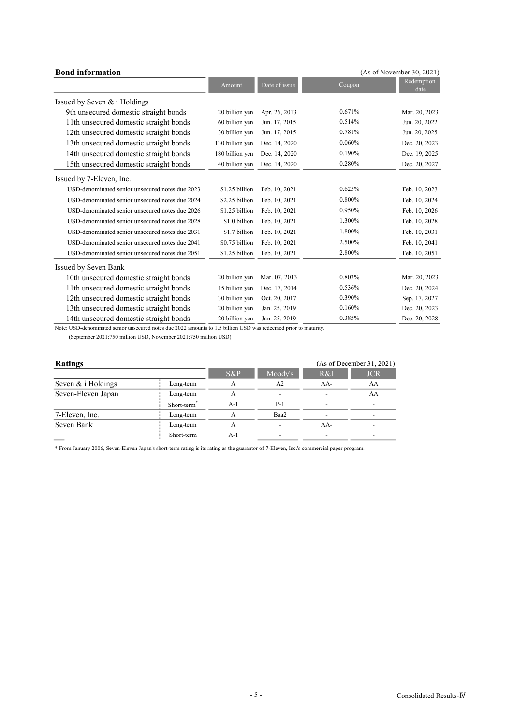| <b>Bond</b> information                         |                 |               |        | (As of November 30, 2021) |
|-------------------------------------------------|-----------------|---------------|--------|---------------------------|
|                                                 | Amount          | Date of issue | Coupon | Redemption<br>date        |
| Issued by Seven & i Holdings                    |                 |               |        |                           |
| 9th unsecured domestic straight bonds           | 20 billion yen  | Apr. 26, 2013 | 0.671% | Mar. 20, 2023             |
| 11th unsecured domestic straight bonds          | 60 billion yen  | Jun. 17, 2015 | 0.514% | Jun. 20, 2022             |
| 12th unsecured domestic straight bonds          | 30 billion yen  | Jun. 17, 2015 | 0.781% | Jun. 20, 2025             |
| 13th unsecured domestic straight bonds          | 130 billion yen | Dec. 14, 2020 | 0.060% | Dec. 20, 2023             |
| 14th unsecured domestic straight bonds          | 180 billion yen | Dec. 14, 2020 | 0.190% | Dec. 19, 2025             |
| 15th unsecured domestic straight bonds          | 40 billion yen  | Dec. 14, 2020 | 0.280% | Dec. 20, 2027             |
| Issued by 7-Eleven, Inc.                        |                 |               |        |                           |
| USD-denominated senior unsecured notes due 2023 | \$1.25 billion  | Feb. 10, 2021 | 0.625% | Feb. 10, 2023             |
| USD-denominated senior unsecured notes due 2024 | \$2.25 billion  | Feb. 10, 2021 | 0.800% | Feb. 10, 2024             |
| USD-denominated senior unsecured notes due 2026 | \$1.25 billion  | Feb. 10, 2021 | 0.950% | Feb. 10, 2026             |
| USD-denominated senior unsecured notes due 2028 | \$1.0 billion   | Feb. 10, 2021 | 1.300% | Feb. 10, 2028             |
| USD-denominated senior unsecured notes due 2031 | \$1.7 billion   | Feb. 10, 2021 | 1.800% | Feb. 10, 2031             |
| USD-denominated senior unsecured notes due 2041 | \$0.75 billion  | Feb. 10, 2021 | 2.500% | Feb. 10, 2041             |
| USD-denominated senior unsecured notes due 2051 | \$1.25 billion  | Feb. 10, 2021 | 2.800% | Feb. 10, 2051             |
| Issued by Seven Bank                            |                 |               |        |                           |
| 10th unsecured domestic straight bonds          | 20 billion yen  | Mar. 07, 2013 | 0.803% | Mar. 20, 2023             |
| 11th unsecured domestic straight bonds          | 15 billion yen  | Dec. 17, 2014 | 0.536% | Dec. 20, 2024             |
| 12th unsecured domestic straight bonds          | 30 billion yen  | Oct. 20, 2017 | 0.390% | Sep. 17, 2027             |
| 13th unsecured domestic straight bonds          | 20 billion yen  | Jan. 25, 2019 | 0.160% | Dec. 20, 2023             |
| 14th unsecured domestic straight bonds          | 20 billion yen  | Jan. 25, 2019 | 0.385% | Dec. 20, 2028             |

Note: USD-denominated senior unsecured notes due 2022 amounts to 1.5 billion USD was redeemed prior to maturity.

(September 2021:750 million USD, November 2021:750 million USD)

| <b>Ratings</b>     |            |         | (As of December 31, 2021) |                          |                          |
|--------------------|------------|---------|---------------------------|--------------------------|--------------------------|
|                    | $S\&P$     | Moody's | R&I                       | <b>JCR</b>               |                          |
| Seven & i Holdings | Long-term  | А       | A2                        | AA-                      | AA                       |
| Seven-Eleven Japan | Long-term  | А       |                           |                          | AA                       |
|                    | Short-term | $A-1$   | P-1                       | $\overline{\phantom{a}}$ | $\overline{\phantom{0}}$ |
| 7-Eleven, Inc.     | Long-term  | А       | Baa2                      | -                        |                          |
| Seven Bank         | Long-term  | А       |                           | AA-                      |                          |
|                    | Short-term | A-1     |                           |                          |                          |

\* From January 2006, Seven-Eleven Japan's short-term rating is its rating as the guarantor of 7-Eleven, Inc.'s commercial paper program.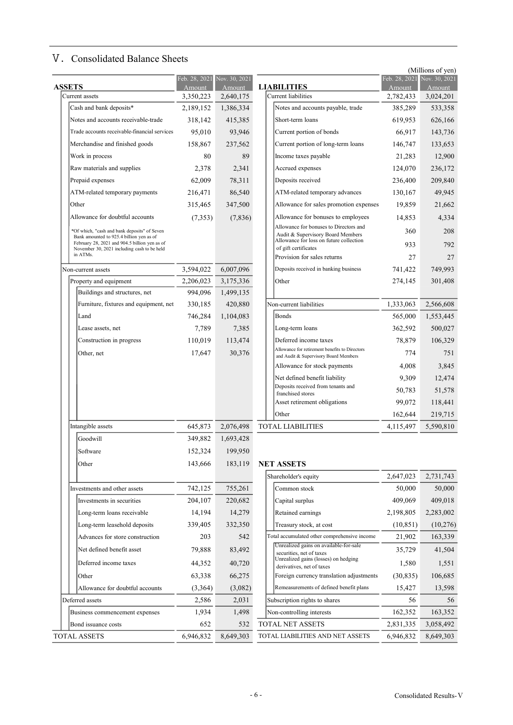## Ⅴ.Consolidated Balance Sheets

|               |                                                                                           |                         |                         |                                                                              |                                              | (Millions of yen)       |
|---------------|-------------------------------------------------------------------------------------------|-------------------------|-------------------------|------------------------------------------------------------------------------|----------------------------------------------|-------------------------|
| <b>ASSETS</b> |                                                                                           | Feb. 28, 2021<br>Amount | Nov. 30, 2021<br>Amount | <b>LIABILITIES</b>                                                           | $\overline{\text{Feb}}$ . 28, 2021<br>Amount | Nov. 30, 2021<br>Amount |
|               | Current assets                                                                            | 3,350,223               | 2,640,175               | Current liabilities                                                          | 2,782,433                                    | 3,024,201               |
|               | Cash and bank deposits*                                                                   | 2,189,152               | 1,386,334               | Notes and accounts payable, trade                                            | 385,289                                      | 533,358                 |
|               | Notes and accounts receivable-trade                                                       | 318,142                 | 415,385                 | Short-term loans                                                             | 619,953                                      | 626,166                 |
|               | Trade accounts receivable-financial services                                              | 95,010                  | 93,946                  | Current portion of bonds                                                     | 66,917                                       | 143,736                 |
|               | Merchandise and finished goods                                                            | 158,867                 | 237,562                 | Current portion of long-term loans                                           | 146,747                                      | 133,653                 |
|               | Work in process                                                                           | 80                      | 89                      | Income taxes payable                                                         | 21,283                                       | 12,900                  |
|               | Raw materials and supplies                                                                | 2,378                   | 2,341                   | Accrued expenses                                                             | 124,070                                      | 236,172                 |
|               | Prepaid expenses                                                                          | 62,009                  | 78,311                  | Deposits received                                                            | 236,400                                      | 209,840                 |
|               | ATM-related temporary payments                                                            | 216,471                 | 86,540                  | ATM-related temporary advances                                               | 130,167                                      | 49,945                  |
|               | Other                                                                                     | 315,465                 | 347,500                 | Allowance for sales promotion expenses                                       | 19,859                                       | 21,662                  |
|               | Allowance for doubtful accounts                                                           | (7,353)                 | (7,836)                 | Allowance for bonuses to employees                                           | 14,853                                       | 4,334                   |
|               | *Of which, "cash and bank deposits" of Seven                                              |                         |                         | Allowance for bonuses to Directors and                                       | 360                                          | 208                     |
|               | Bank amounted to 925.4 billion yen as of<br>February 28, 2021 and 904.5 billion yen as of |                         |                         | Audit & Supervisory Board Members<br>Allowance for loss on future collection |                                              |                         |
|               | November 30, 2021 including cash to be held<br>in ATMs.                                   |                         |                         | of gift certificates                                                         | 933                                          | 792                     |
|               |                                                                                           |                         |                         | Provision for sales returns                                                  | 27                                           | 27                      |
|               | Non-current assets                                                                        | 3,594,022               | 6,007,096               | Deposits received in banking business                                        | 741,422                                      | 749,993                 |
|               | Property and equipment                                                                    | 2,206,023               | 3,175,336               | Other                                                                        | 274,145                                      | 301,408                 |
|               | Buildings and structures, net                                                             | 994,096                 | 1,499,135               |                                                                              |                                              |                         |
|               | Furniture, fixtures and equipment, net                                                    | 330,185                 | 420,880                 | Non-current liabilities                                                      | 1,333,063                                    | 2,566,608               |
|               | Land                                                                                      | 746,284                 | 1,104,083               | <b>Bonds</b>                                                                 | 565,000                                      | 1,553,445               |
|               | Lease assets, net                                                                         | 7,789                   | 7,385                   | Long-term loans                                                              | 362,592                                      | 500,027                 |
|               | Construction in progress                                                                  | 110,019                 | 113,474                 | Deferred income taxes<br>Allowance for retirement benefits to Directors      | 78,879                                       | 106,329                 |
|               | Other, net                                                                                | 17,647                  | 30,376                  | and Audit & Supervisory Board Members                                        | 774                                          | 751                     |
|               |                                                                                           |                         |                         | Allowance for stock payments                                                 | 4,008                                        | 3,845                   |
|               |                                                                                           |                         |                         | Net defined benefit liability                                                | 9,309                                        | 12,474                  |
|               |                                                                                           |                         |                         | Deposits received from tenants and<br>franchised stores                      | 50,783                                       | 51,578                  |
|               |                                                                                           |                         |                         | Asset retirement obligations                                                 | 99,072                                       | 118,441                 |
|               |                                                                                           |                         |                         | Other                                                                        | 162,644                                      | 219,715                 |
|               | Intangible assets                                                                         | 645,873                 | 2,076,498               | <b>TOTAL LIABILITIES</b>                                                     | 4,115,497                                    | 5,590,810               |
|               | Goodwill                                                                                  | 349,882                 | 1,693,428               |                                                                              |                                              |                         |
|               | Software                                                                                  | 152,324                 | 199,950                 |                                                                              |                                              |                         |
|               | Other                                                                                     | 143,666                 | 183,119                 | <b>NET ASSETS</b>                                                            |                                              |                         |
|               |                                                                                           |                         |                         | Shareholder's equity                                                         | 2,647,023                                    | 2,731,743               |
|               | Investments and other assets                                                              | 742,125                 | 755,261                 | Common stock                                                                 | 50,000                                       | 50,000                  |
|               | Investments in securities                                                                 | 204,107                 | 220,682                 | Capital surplus                                                              | 409,069                                      | 409,018                 |
|               | Long-term loans receivable                                                                | 14,194                  | 14,279                  | Retained earnings                                                            | 2,198,805                                    | 2,283,002               |
|               | Long-term leasehold deposits                                                              | 339,405                 | 332,350                 | Treasury stock, at cost                                                      | (10, 851)                                    | (10,276)                |
|               | Advances for store construction                                                           | 203                     | 542                     | Total accumulated other comprehensive income                                 | 21,902                                       | 163,339                 |
|               | Net defined benefit asset                                                                 | 79,888                  | 83,492                  | Unrealized gains on available-for-sale                                       | 35,729                                       | 41,504                  |
|               | Deferred income taxes                                                                     | 44,352                  | 40,720                  | securities, net of taxes<br>Unrealized gains (losses) on hedging             | 1,580                                        | 1,551                   |
|               |                                                                                           |                         |                         | derivatives, net of taxes                                                    |                                              |                         |
|               | Other                                                                                     | 63,338                  | 66,275                  | Foreign currency translation adjustments                                     | (30, 835)                                    | 106,685                 |
|               | Allowance for doubtful accounts                                                           | (3,364)                 | (3,082)                 | Remeasurements of defined benefit plans                                      | 15,427                                       | 13,598                  |
|               | Deferred assets                                                                           | 2,586                   | 2,031                   | Subscription rights to shares                                                | 56                                           | 56                      |
|               | Business commencement expenses                                                            | 1,934                   | 1,498                   | Non-controlling interests                                                    | 162,352                                      | 163,352                 |
|               | Bond issuance costs                                                                       | 652                     | 532                     | TOTAL NET ASSETS                                                             | 2,831,335                                    | 3,058,492               |
|               | <b>TOTAL ASSETS</b>                                                                       | 6,946,832               | 8,649,303               | TOTAL LIABILITIES AND NET ASSETS                                             | 6,946,832                                    | 8,649,303               |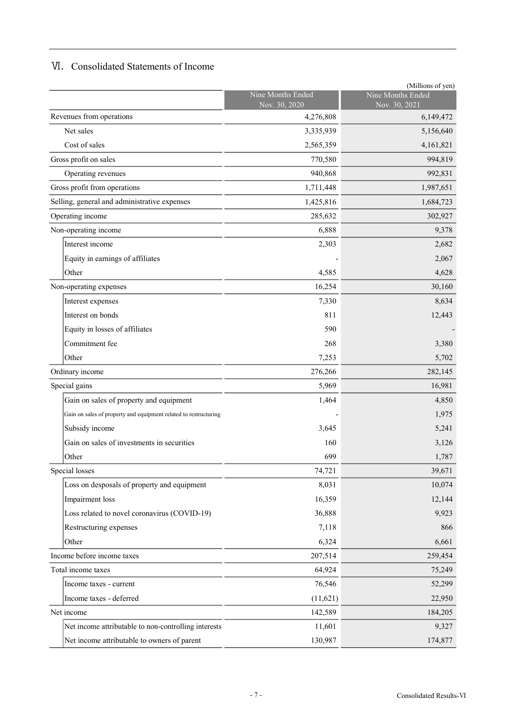## Ⅵ.Consolidated Statements of Income

|                                                                  |                                    | (Millions of yen)                  |
|------------------------------------------------------------------|------------------------------------|------------------------------------|
|                                                                  | Nine Months Ended<br>Nov. 30, 2020 | Nine Months Ended<br>Nov. 30, 2021 |
| Revenues from operations                                         | 4,276,808                          | 6,149,472                          |
| Net sales                                                        | 3,335,939                          | 5,156,640                          |
| Cost of sales                                                    | 2,565,359                          | 4,161,821                          |
| Gross profit on sales                                            | 770,580                            | 994,819                            |
| Operating revenues                                               | 940,868                            | 992,831                            |
| Gross profit from operations                                     | 1,711,448                          | 1,987,651                          |
| Selling, general and administrative expenses                     | 1,425,816                          | 1,684,723                          |
| Operating income                                                 | 285,632                            | 302,927                            |
| Non-operating income                                             | 6,888                              | 9,378                              |
| Interest income                                                  | 2,303                              | 2,682                              |
| Equity in earnings of affiliates                                 |                                    | 2,067                              |
| Other                                                            | 4,585                              | 4,628                              |
| Non-operating expenses                                           | 16,254                             | 30,160                             |
| Interest expenses                                                | 7,330                              | 8,634                              |
| Interest on bonds                                                | 811                                | 12,443                             |
| Equity in losses of affiliates                                   | 590                                |                                    |
| Commitment fee                                                   | 268                                | 3,380                              |
| Other                                                            | 7,253                              | 5,702                              |
| Ordinary income                                                  | 276,266                            | 282,145                            |
| Special gains                                                    | 5,969                              | 16,981                             |
| Gain on sales of property and equipment                          | 1,464                              | 4,850                              |
| Gain on sales of property and equipment related to restructuring |                                    | 1,975                              |
| Subsidy income                                                   | 3,645                              | 5,241                              |
| Gain on sales of investments in securities                       | 160                                | 3,126                              |
| Other                                                            | 699                                | 1,787                              |
| Special losses                                                   | 74,721                             | 39,671                             |
| Loss on desposals of property and equipment                      | 8,031                              | 10,074                             |
| Impairment loss                                                  | 16,359                             | 12,144                             |
| Loss related to novel coronavirus (COVID-19)                     | 36,888                             | 9,923                              |
| Restructuring expenses                                           | 7,118                              | 866                                |
| Other                                                            | 6,324                              | 6,661                              |
| Income before income taxes                                       | 207,514                            | 259,454                            |
| Total income taxes                                               | 64,924                             | 75,249                             |
| Income taxes - current                                           | 76,546                             | 52,299                             |
| Income taxes - deferred                                          | (11, 621)                          | 22,950                             |
| Net income                                                       | 142,589                            | 184,205                            |
| Net income attributable to non-controlling interests             | 11,601                             | 9,327                              |
| Net income attributable to owners of parent                      | 130,987                            | 174,877                            |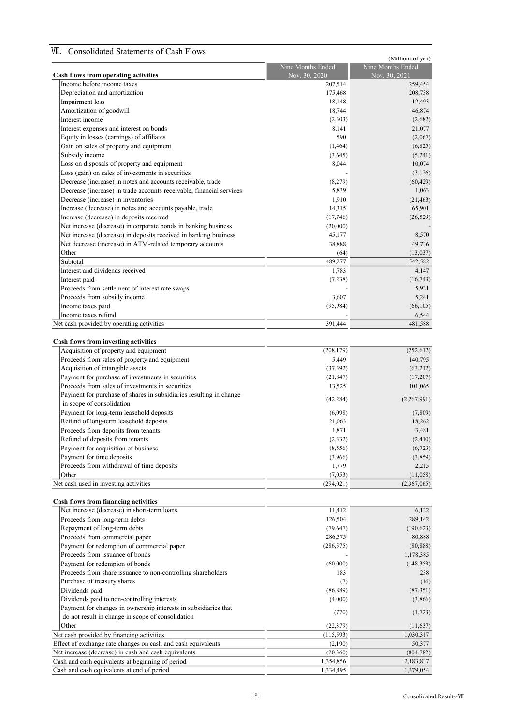## Ⅶ.Consolidated Statements of Cash Flows

|                                                                      |                       | (Millions of yen) |
|----------------------------------------------------------------------|-----------------------|-------------------|
|                                                                      | Nine Months Ended     | Nine Months Ended |
| Cash flows from operating activities                                 | Nov. 30, 2020         | Nov. 30, 2021     |
| Income before income taxes                                           | 207,514               | 259,454           |
| Depreciation and amortization                                        | 175,468               | 208,738           |
| Impairment loss                                                      | 18,148                | 12,493            |
| Amortization of goodwill                                             | 18,744                | 46,874            |
| Interest income                                                      | (2,303)               | (2,682)           |
| Interest expenses and interest on bonds                              | 8,141                 | 21,077            |
| Equity in losses (earnings) of affiliates                            | 590                   | (2,067)           |
| Gain on sales of property and equipment                              | (1, 464)              | (6,825)           |
| Subsidy income                                                       | (3,645)               | (5,241)           |
| Loss on disposals of property and equipment                          | 8,044                 | 10,074            |
| Loss (gain) on sales of investments in securities                    |                       | (3,126)           |
| Decrease (increase) in notes and accounts receivable, trade          | (8,279)               | (60, 429)         |
| Decrease (increase) in trade accounts receivable, financial services | 5,839                 | 1,063             |
| Decrease (increase) in inventories                                   | 1,910                 | (21, 463)         |
|                                                                      | 14,315                | 65,901            |
| Increase (decrease) in notes and accounts payable, trade             |                       |                   |
| Increase (decrease) in deposits received                             | (17,746)              | (26, 529)         |
| Net increase (decrease) in corporate bonds in banking business       | (20,000)              |                   |
| Net increase (decrease) in deposits received in banking business     | 45,177                | 8,570             |
| Net decrease (increase) in ATM-related temporary accounts            | 38,888                | 49,736            |
| Other                                                                | (64)                  | (13,037)          |
| Subtotal                                                             | 489,277               | 542,582           |
| Interest and dividends received                                      | 1,783                 | 4,147             |
| Interest paid                                                        | (7,238)               | (16, 743)         |
| Proceeds from settlement of interest rate swaps                      |                       | 5,921             |
| Proceeds from subsidy income                                         | 3,607                 | 5,241             |
| Income taxes paid                                                    | (95, 984)             | (66, 105)         |
| Income taxes refund                                                  |                       | 6,544             |
| Net cash provided by operating activities                            | 391,444               | 481,588           |
|                                                                      |                       |                   |
|                                                                      |                       |                   |
| Cash flows from investing activities                                 |                       |                   |
| Acquisition of property and equipment                                | (208, 179)            | (252, 612)        |
| Proceeds from sales of property and equipment                        | 5,449                 | 140,795           |
| Acquisition of intangible assets                                     | (37,392)              | (63, 212)         |
| Payment for purchase of investments in securities                    | (21, 847)             | (17,207)          |
| Proceeds from sales of investments in securities                     | 13,525                | 101,065           |
| Payment for purchase of shares in subsidiaries resulting in change   | (42, 284)             | (2,267,991)       |
| in scope of consolidation                                            |                       |                   |
| Payment for long-term leasehold deposits                             | (6,098)               | (7,809)           |
| Refund of long-term leasehold deposits                               | 21,063                | 18,262            |
| Proceeds from deposits from tenants                                  | 1,871                 | 3,481             |
| Refund of deposits from tenants                                      | (2, 332)              | (2, 410)          |
| Payment for acquisition of business                                  | (8, 556)              | (6, 723)          |
| Payment for time deposits                                            | (3,966)               | (3,859)           |
| Proceeds from withdrawal of time deposits                            | 1,779                 | 2,215             |
| Other                                                                |                       |                   |
|                                                                      | (7,053)<br>(294, 021) | (11,058)          |
| Net cash used in investing activities                                |                       | (2,367,065)       |
|                                                                      |                       |                   |
| <b>Cash flows from financing activities</b>                          |                       |                   |
| Net increase (decrease) in short-term loans                          | 11,412                | 6,122             |
| Proceeds from long-term debts                                        | 126,504               | 289,142           |
| Repayment of long-term debts                                         | (79, 647)             | (190, 623)        |
| Proceeds from commercial paper                                       | 286,575               | 80,888            |
| Payment for redemption of commercial paper                           | (286, 575)            | (80, 888)         |
| Proceeds from issuance of bonds                                      |                       | 1,178,385         |
| Payment for redempion of bonds                                       | (60,000)              | (148, 353)        |
| Proceeds from share issuance to non-controlling shareholders         | 183                   | 238               |
| Purchase of treasury shares                                          | (7)                   | (16)              |
| Dividends paid                                                       | (86, 889)             | (87,351)          |
| Dividends paid to non-controlling interests                          | (4,000)               | (3,866)           |
|                                                                      |                       |                   |
| Payment for changes in ownership interests in subsidiaries that      | (770)                 | (1,723)           |
| do not result in change in scope of consolidation                    |                       |                   |
| Other                                                                | (22, 379)             | (11, 637)         |
| Net cash provided by financing activities                            | (115, 593)            | 1,030,317         |
| Effect of exchange rate changes on cash and cash equivalents         | (2,190)               | 50,377            |
| Net increase (decrease) in cash and cash equivalents                 | (20, 360)             | (804, 782)        |
| Cash and cash equivalents at beginning of period                     | 1,354,856             | 2,183,837         |
| Cash and cash equivalents at end of period                           | 1,334,495             | 1,379,054         |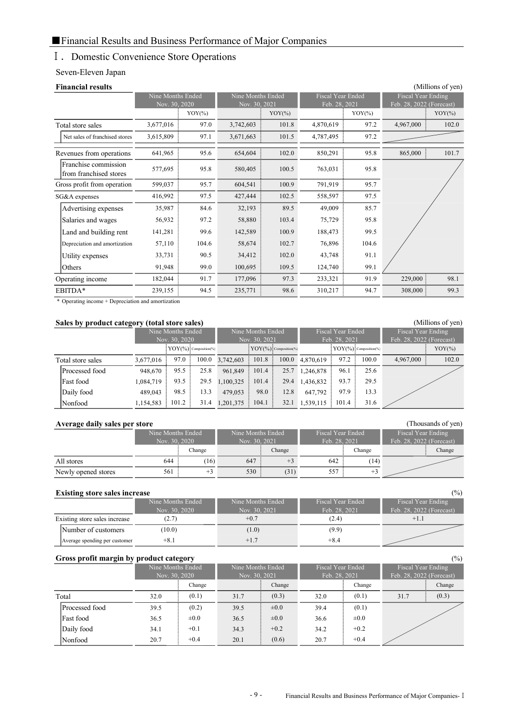### Ⅰ.Domestic Convenience Store Operations

### Seven-Eleven Japan

|           |       |                                                 |       |                                                 |       |                                                        | (Millions of yen)  |
|-----------|-------|-------------------------------------------------|-------|-------------------------------------------------|-------|--------------------------------------------------------|--------------------|
|           |       |                                                 |       |                                                 |       |                                                        |                    |
|           |       |                                                 |       |                                                 |       | Feb. 28, 2022 (Forecast)                               |                    |
|           |       |                                                 |       |                                                 |       |                                                        | $YOY$ (%)          |
| 3,677,016 | 97.0  | 3,742,603                                       | 101.8 | 4,870,619                                       | 97.2  | 4,967,000                                              | 102.0              |
| 3,615,809 | 97.1  | 3,671,663                                       | 101.5 | 4,787,495                                       | 97.2  |                                                        |                    |
| 641,965   | 95.6  | 654,604                                         | 102.0 | 850,291                                         | 95.8  | 865,000                                                | 101.7              |
| 577,695   | 95.8  | 580,405                                         | 100.5 | 763,031                                         | 95.8  |                                                        |                    |
| 599,037   | 95.7  | 604,541                                         | 100.9 | 791,919                                         | 95.7  |                                                        |                    |
| 416,992   | 97.5  | 427,444                                         | 102.5 | 558,597                                         | 97.5  |                                                        |                    |
| 35,987    | 84.6  | 32,193                                          | 89.5  | 49,009                                          | 85.7  |                                                        |                    |
| 56,932    | 97.2  | 58,880                                          | 103.4 | 75,729                                          | 95.8  |                                                        |                    |
| 141,281   | 99.6  | 142,589                                         | 100.9 | 188,473                                         | 99.5  |                                                        |                    |
| 57,110    | 104.6 | 58,674                                          | 102.7 | 76,896                                          | 104.6 |                                                        |                    |
| 33,731    | 90.5  | 34,412                                          | 102.0 | 43,748                                          | 91.1  |                                                        |                    |
| 91,948    | 99.0  | 100,695                                         | 109.5 | 124,740                                         | 99.1  |                                                        |                    |
| 182,044   | 91.7  | 177,096                                         | 97.3  | 233,321                                         | 91.9  | 229,000                                                | 98.1               |
| 239,155   | 94.5  | 235,771                                         | 98.6  | 310,217                                         | 94.7  | 308,000                                                | 99.3               |
|           |       | Nine Months Ended<br>Nov. 30, 2020<br>$YOY$ (%) |       | Nine Months Ended<br>Nov. 30, 2021<br>$YOY(\%)$ |       | <b>Fiscal Year Ended</b><br>Feb. 28, 2021<br>$YOY$ (%) | Fiscal Year Ending |

\* Operating income + Depreciation and amortization

#### Sales by product category (total store sales) (Millions of yen) Nine Months Ended Nov. 30, 2020 Nine Months Ended Fiscal Year Ended Feb. 28, 2021<br>**YOY**(%)<sup>2</sup> Composition(%) Fiscal Year Ending Feb. 28, 2022 (Forecast) Total store sales  $3,677,016 \div 97.0 \div 100.0 \quad 3,742,603 \div 101.8 \div 100.0 \quad 4,870,619 \div 97.2 \div 100.0$ Processed food 948,670  $\frac{1}{25.5}$  96.5  $\frac{1}{25.8}$  961,849  $\frac{1}{25.7}$  1,246,878  $\frac{1}{25.6}$  96.1  $\frac{1}{25.6}$ Fast food 1,084,719  $\frac{1}{2}$  93.5  $\frac{1}{2}$  29.5 1,100,325  $\frac{1}{2}$  101.4  $\frac{1}{2}$  29.4 1,436,832  $\frac{1}{2}$  93.7  $\frac{1}{2}$  29.5 Daily food 489,043 98.5 13.3 479,053 98.0 12.8 Nonfood 1,154,583 101.2 31.4 1,201,375 104.1 32.1 1,539,115 101.4 31.6 13.3 101.2  $647.792$  97.9 98.0 4,967,000 102.0 93.5 98.5 13.3  $\boxed{\text{YOY}(\%)}$   $\boxed{\text{conposition}(\%)}$   $\boxed{\text{YOY}(\%)}$   $\boxed{\text{conposition}(\%)}$   $\boxed{\text{YOY}(\%)}$   $\boxed{\text{conposition}(\%)}$   $\boxed{\text{YOY}(\%)}$

#### Average daily sales per store (Thousands of yen) and the state of yen (Thousands of yen)

| $\overline{\phantom{a}}$ |                   |        |                   |        |                   |        |                          |        |
|--------------------------|-------------------|--------|-------------------|--------|-------------------|--------|--------------------------|--------|
|                          | Nine Months Ended |        | Nine Months Ended |        | Fiscal Year Ended |        | Fiscal Year Ending       |        |
|                          | Nov. 30, 2020     |        | Nov. 30, 2021     |        | Feb. 28, 2021     |        | Feb. 28, 2022 (Forecast) |        |
|                          |                   | Change |                   | Change |                   | Change |                          | Change |
| All stores               | 644               | (16)   | 647               |        | 642               | (14)   |                          |        |
| Newly opened stores      | 561               | $+3$   | 530:              | (31)   | 557               |        |                          |        |

#### Existing store sales increase (%)

| $\sim$                        | Nine Months Ended | Nine Months Ended | Fiscal Year Ended | Fiscal Year Ending       |
|-------------------------------|-------------------|-------------------|-------------------|--------------------------|
|                               | Nov. 30, 2020     | Nov. 30, 2021     | Feb. 28, 2021     | Feb. 28, 2022 (Forecast) |
| Existing store sales increase | (2.7)             | $+0.7$            | (2.4)             | $+1.1$                   |
| Number of customers           | (10.0)            | (1.0)             | (9.9)             |                          |
| Average spending per customer | $+8.1$            | $+1.7$            | $+8.4$            |                          |

## Gross profit margin by product category (%)

|                | Nine Months Ended<br>Nov. 30, 2020 |           | Nine Months Ended<br>Nov. 30, 2021 |           | Fiscal Year Ended<br>Feb. 28, 2021 |           | Fiscal Year Ending<br>Feb. 28, 2022 (Forecast) |        |
|----------------|------------------------------------|-----------|------------------------------------|-----------|------------------------------------|-----------|------------------------------------------------|--------|
|                |                                    | Change    |                                    | Change    |                                    | Change    |                                                | Change |
| Total          | 32.0                               | (0.1)     | 31.7                               | (0.3)     | 32.0                               | (0.1)     | 31.7                                           | (0.3)  |
| Processed food | 39.5                               | (0.2)     | 39.5                               | $\pm 0.0$ | 39.4                               | (0.1)     |                                                |        |
| Fast food      | 36.5                               | $\pm 0.0$ | 36.5                               | $\pm 0.0$ | 36.6                               | $\pm 0.0$ |                                                |        |
| Daily food     | 34.1                               | $+0.1$    | 34.3                               | $+0.2$    | 34.2                               | $+0.2$    |                                                |        |
| Nonfood        | 20.7                               | $+0.4$    | 20.1                               | (0.6)     | 20.7                               | $+0.4$    |                                                |        |

#### - 9 - Financial Results and Business Performance of Major Companies-Ⅰ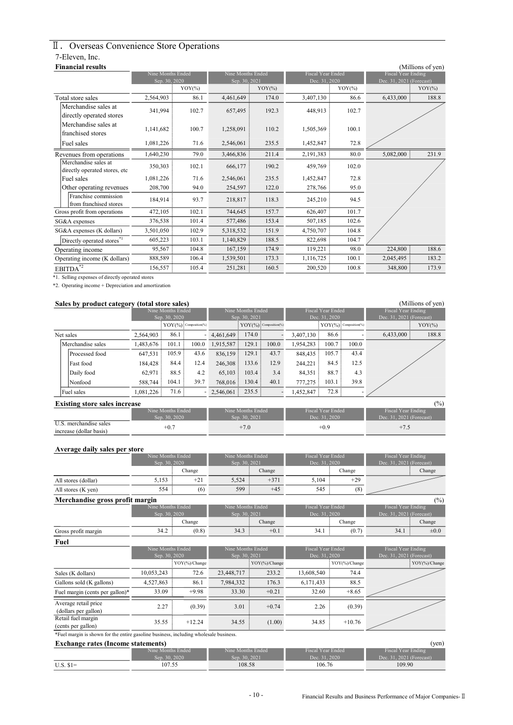## Ⅱ.Overseas Convenience Store Operations 7-Eleven, Inc.

| <b>Financial results</b>                              |                   |           |                   |           |                          |           |                           | (Millions of yen) |
|-------------------------------------------------------|-------------------|-----------|-------------------|-----------|--------------------------|-----------|---------------------------|-------------------|
|                                                       | Nine Months Ended |           | Nine Months Ended |           | <b>Fiscal Year Ended</b> |           | <b>Fiscal Year Ending</b> |                   |
|                                                       | Sep. 30, 2020     | $YOY$ (%) | Sep. 30, 2021     | $YOY$ (%) | Dec. 31, 2020            | $YOY(\%)$ | Dec. 31, 2021 (Forecast)  | $YOY$ (%)         |
|                                                       |                   |           |                   |           |                          |           |                           |                   |
| Total store sales                                     | 2,564,903         | 86.1      | 4,461,649         | 174.0     | 3,407,130                | 86.6      | 6,433,000                 | 188.8             |
| Merchandise sales at<br>directly operated stores      | 341,994           | 102.7     | 657,495           | 192.3     | 448,913                  | 102.7     |                           |                   |
| Merchandise sales at<br>franchised stores             | 1,141,682         | 100.7     | 1,258,091         | 110.2     | 1,505,369                | 100.1     |                           |                   |
| Fuel sales                                            | 1,081,226         | 71.6      | 2,546,061         | 235.5     | 1,452,847                | 72.8      |                           |                   |
| Revenues from operations                              | 1,640,230         | 79.0      | 3,466,836         | 211.4     | 2,191,383                | 80.0      | 5,082,000                 | 231.9             |
| Merchandise sales at<br>directly operated stores, etc | 350,303           | 102.1     | 666,177           | 190.2     | 459,769                  | 102.0     |                           |                   |
| Fuel sales                                            | 1,081,226         | 71.6      | 2,546,061         | 235.5     | 1,452,847                | 72.8      |                           |                   |
| Other operating revenues                              | 208,700           | 94.0      | 254,597           | 122.0     | 278,766                  | 95.0      |                           |                   |
| Franchise commission<br>from franchised stores        | 184,914           | 93.7      | 218,817           | 118.3     | 245,210                  | 94.5      |                           |                   |
| Gross profit from operations                          | 472,105           | 102.1     | 744,645           | 157.7     | 626,407                  | 101.7     |                           |                   |
| SG&A expenses                                         | 376,538           | 101.4     | 577,486           | 153.4     | 507,185                  | 102.6     |                           |                   |
| SG&A expenses (K dollars)                             | 3,501,050         | 102.9     | 5,318,532         | 151.9     | 4,750,707                | 104.8     |                           |                   |
| Directly operated stores <sup>*1</sup>                | 605,223           | 103.1     | 1,140,829         | 188.5     | 822,698                  | 104.7     |                           |                   |
| Operating income                                      | 95,567            | 104.8     | 167,159           | 174.9     | 119,221                  | 98.0      | 224,800                   | 188.6             |
| Operating income (K dollars)                          | 888,589           | 106.4     | 1,539,501         | 173.3     | 1,116,725                | 100.1     | 2,045,495                 | 183.2             |
| $EBITDA^{\overline{*2}}$                              | 156,557           | 105.4     | 251,281           | 160.5     | 200,520                  | 100.8     | 348,800                   | 173.9             |
| *1 Selling expanses of directly operated stores       |                   |           |                   |           |                          |           |                           |                   |

\*1. Selling expenses of directly operated stores

\*2. Operating income + Depreciation and amortization

#### Sales by product category (total store sales) (Millions of yen)

| - - - -<br>- - - - -                 |               |                            |       |                   |                                     |                          |           |                            |                    |           |           |
|--------------------------------------|---------------|----------------------------|-------|-------------------|-------------------------------------|--------------------------|-----------|----------------------------|--------------------|-----------|-----------|
|                                      |               | Nine Months Ended          |       | Nine Months Ended |                                     | <b>Fiscal Year Ended</b> |           |                            | Fiscal Year Ending |           |           |
|                                      | Sep. 30, 2020 |                            |       | Sep. 30, 2021     |                                     | Dec. 31, 2020            |           | Dec. 31, 2021 (Forecast)   |                    |           |           |
|                                      |               | $YOY(\%)$ : Composition(%) |       |                   | $\mathrm{YOY}(\%)$ : Composition(%) |                          |           | $YOY(\%)$ : Composition(%) |                    |           | $YOY(\%)$ |
| Net sales                            | 2.564.903     | 86.1                       |       | $-4.461.649$      | 174.0                               |                          | 3,407,130 | 86.6:                      |                    | 6,433,000 | 188.8     |
| Merchandise sales                    | 1,483,676     | 101.1                      | 100.0 | 1,915,587         | 129.1                               | 100.0                    | 1,954,283 | 100.7                      | 100.0              |           |           |
| Processed food                       | 647,531       | 105.9                      | 43.6  | 836,159           | 129.1                               | 43.7                     | 848,435   | 105.7                      | 43.4               |           |           |
| Fast food                            | 184,428       | 84.4                       | 12.4  | 246,308           | 133.6:                              | 12.9                     | 244,221   | 84.5                       | 12.5               |           |           |
| Daily food                           | 62,971        | 88.5                       | 4.2   | 65,103            | 103.4                               | 3.4                      | 84,351    | 88.7                       | 4.3                |           |           |
| Nonfood                              | 588,744       | 104.1                      | 39.7  | 768,016           | 130.4                               | 40.1                     | 777,275   | 103.1                      | 39.8               |           |           |
| Fuel sales                           | 1,081,226     | 71.6                       |       | $-2,546,061$      | 235.5:                              |                          | 1,452,847 | 72.8:                      |                    |           |           |
| <b>Existing store sales increase</b> |               |                            |       |                   |                                     |                          |           |                            |                    |           | (%)       |

|                         |                   |                   |                   | $\cdot$ $\cdot$ $\cdot$  |
|-------------------------|-------------------|-------------------|-------------------|--------------------------|
|                         | Nine Months Ended | Nine Months Ended | Fiscal Year Ended | Fiscal Year Ending       |
|                         | 30.2020           | 30. 2021<br>Sep.  | 2020              | Dec. 31, 2021 (Forecast) |
| merchandise sales       | $+0.7$            | $+7.0$            | $^{+0.9}$         |                          |
| increase (dollar basis) |                   |                   |                   | 1.5                      |

#### Average daily sales per store

|                                 | Nine Months Ended                                                                           |        |                   | Nine Months Ended                                                                           |                          | <b>Fiscal Year Ended</b>                                                                                                                                                                                                                                                              | Fiscal Year Ending       |                                                                                           |
|---------------------------------|---------------------------------------------------------------------------------------------|--------|-------------------|---------------------------------------------------------------------------------------------|--------------------------|---------------------------------------------------------------------------------------------------------------------------------------------------------------------------------------------------------------------------------------------------------------------------------------|--------------------------|-------------------------------------------------------------------------------------------|
|                                 | Sep. 30, 2020                                                                               |        | Sep. 30, 2021     |                                                                                             | Dec. 31, 2020            |                                                                                                                                                                                                                                                                                       | Dec. 31, 2021 (Forecast) |                                                                                           |
|                                 |                                                                                             | Change |                   | Change                                                                                      |                          | Change                                                                                                                                                                                                                                                                                |                          | Change                                                                                    |
| All stores (dollar)             | 5,153                                                                                       | $+21$  | 5,524             | $+371$                                                                                      | 5,104                    | $+29$                                                                                                                                                                                                                                                                                 |                          |                                                                                           |
| All stores (K yen)              | 554                                                                                         | (6)    | 599               | $+45$                                                                                       | 545                      | (8)                                                                                                                                                                                                                                                                                   |                          |                                                                                           |
| Merchandise gross profit margin |                                                                                             |        |                   |                                                                                             |                          |                                                                                                                                                                                                                                                                                       |                          | (%)                                                                                       |
|                                 | Nine Months Ended                                                                           |        | Nine Months Ended |                                                                                             | <b>Fiscal Year Ended</b> |                                                                                                                                                                                                                                                                                       | Fiscal Year Ending       |                                                                                           |
|                                 | Sep. 30, 2020                                                                               |        | Sep. 30, 2021     |                                                                                             | Dec. 31, 2020            |                                                                                                                                                                                                                                                                                       | Dec. 31, 2021 (Forecast) |                                                                                           |
|                                 |                                                                                             | Change |                   | Change                                                                                      |                          | Change                                                                                                                                                                                                                                                                                |                          | Change                                                                                    |
| Gross profit margin             | 34.2                                                                                        | (0.8)  | 34.3              | $+0.1$                                                                                      | 34.1                     | (0.7)                                                                                                                                                                                                                                                                                 | 34.1                     | $\pm 0.0$                                                                                 |
| Fuel                            |                                                                                             |        |                   |                                                                                             |                          |                                                                                                                                                                                                                                                                                       |                          |                                                                                           |
|                                 | $\mathbf{M}^{\text{t}}$ and $\mathbf{M}$ and $\mathbf{M}$ and $\mathbf{M}$ and $\mathbf{M}$ |        |                   | $\mathbf{M}^{\text{H}}$ and $\mathbf{M}$ and $\mathbf{M}$ and $\mathbf{M}$ and $\mathbf{M}$ |                          | $10^{11} - 11^{11} - 11^{10} - 11^{11} - 11^{11} - 11^{11} - 11^{11} - 11^{11} - 11^{11} - 11^{11} - 11^{11} - 11^{11} - 11^{11} - 11^{11} - 11^{11} - 11^{11} - 11^{11} - 11^{11} - 11^{11} - 11^{11} - 11^{11} - 11^{11} - 11^{11} - 11^{11} - 11^{11} - 11^{11} - 11^{11} - 11^{1$ |                          | $T_{1}$ $T_{2}$ $T_{3}$ $T_{4}$ $T_{5}$ $T_{6}$ $T_{7}$ $T_{8}$ $T_{9}$ $T_{10}$ $T_{11}$ |

|                                                                                       | Nine Months Ended |               | Nine Months Ended |                   | <b>Fiscal Year Ended</b> |                 | Fiscal Year Ending       |  |
|---------------------------------------------------------------------------------------|-------------------|---------------|-------------------|-------------------|--------------------------|-----------------|--------------------------|--|
|                                                                                       | Sep. 30, 2020     |               | Sep. 30, 2021     |                   | Dec. 31, 2020            |                 | Dec. 31, 2021 (Forecast) |  |
|                                                                                       |                   | YOY(%)/Change |                   | : $YOY$ %)/Change |                          | : YOY(%)/Change | : $YOY$ %)/Change        |  |
| Sales (K dollars)                                                                     | 10,053,243        | 72.6          | 23,448,717        | 233.2             | 13,608,540               | 74.4            |                          |  |
| Gallons sold (K gallons)                                                              | 4,527,863         | 86.1          | 7,984,332         | 176.3             | 6,171,433                | 88.5            |                          |  |
| Fuel margin (cents per gallon)*                                                       | 33.09             | $+9.98$       | 33.30             | $+0.21$           | 32.60                    | $+8.65$         |                          |  |
| Average retail price<br>(dollars per gallon)                                          | 2.27              | (0.39)        | 3.01              | $+0.74$           | 2.26                     | (0.39)          |                          |  |
| Retail fuel margin<br>(cents per gallon)                                              | 35.55             | $+12.24$      | 34.55             | (1.00)            | 34.85                    | $+10.76$        |                          |  |
| *Fuel margin is shown for the entire gasoline business, including wholesale business. |                   |               |                   |                   |                          |                 |                          |  |

#### Exchange rates (Income statements) (yen)

| <b>EXCHANGE LATES (THEOTHE STATEMENTS)</b><br>I VULLI |                   |                     |                   |                            |  |  |  |  |  |
|-------------------------------------------------------|-------------------|---------------------|-------------------|----------------------------|--|--|--|--|--|
|                                                       | Nine Months Ended | Nine Months Ended . | Fiscal Year Ended | Fiscal Year Ending         |  |  |  |  |  |
|                                                       | Sep. 30, 2020     | Sep. 30, 2021       | Dec. 31, 2020     | Dec. $31, 2021$ (Forecast) |  |  |  |  |  |
| $U.S. S1=$                                            | 107.55            | 108.58              | 106.76            | 109.90                     |  |  |  |  |  |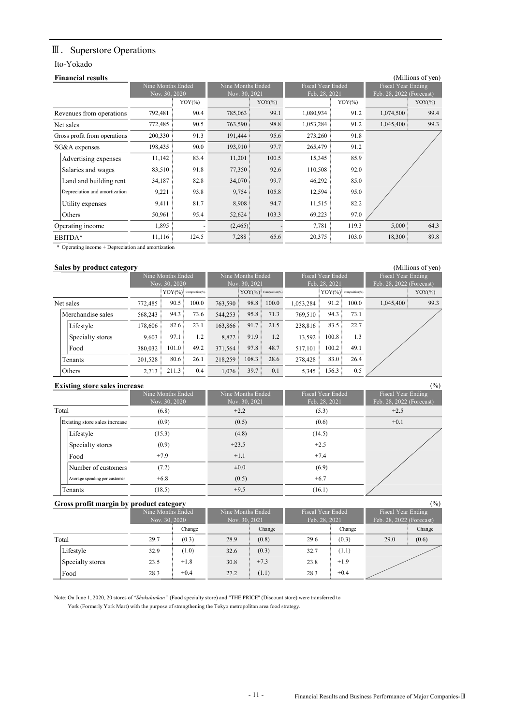## Ⅲ. Superstore Operations

#### Ito-Yokado

| <b>Financial results</b>      |                   |           |                   |           |                          |            |                          | (Millions of yen) |
|-------------------------------|-------------------|-----------|-------------------|-----------|--------------------------|------------|--------------------------|-------------------|
|                               | Nine Months Ended |           | Nine Months Ended |           | <b>Fiscal Year Ended</b> |            | Fiscal Year Ending       |                   |
|                               | Nov. 30, 2020     | $YOY(\%)$ | Nov. 30, 2021     | $YOY(\%)$ | Feb. 28, 2021            | $YOY(\% )$ | Feb. 28, 2022 (Forecast) | $YOY(\%)$         |
| Revenues from operations      | 792,481           | 90.4      | 785,063           | 99.1      | 1,080,934                | 91.2       | 1,074,500                | 99.4              |
| Net sales                     | 772,485           | 90.5      | 763,590           | 98.8      | 1,053,284                | 91.2       | 1,045,400                | 99.3              |
| Gross profit from operations  | 200,330           | 91.3      | 191,444           | 95.6      | 273,260                  | 91.8       |                          |                   |
| SG&A expenses                 | 198,435           | 90.0      | 193,910           | 97.7      | 265,479                  | 91.2       |                          |                   |
| Advertising expenses          | 11,142            | 83.4      | 11,201            | 100.5     | 15,345                   | 85.9       |                          |                   |
| Salaries and wages            | 83,510            | 91.8      | 77,350            | 92.6      | 110,508                  | 92.0       |                          |                   |
| Land and building rent        | 34,187            | 82.8      | 34,070            | 99.7      | 46,292                   | 85.0       |                          |                   |
| Depreciation and amortization | 9,221             | 93.8      | 9,754             | 105.8     | 12,594                   | 95.0       |                          |                   |
| Utility expenses              | 9,411             | 81.7      | 8,908             | 94.7      | 11,515                   | 82.2       |                          |                   |
| Others                        | 50,961            | 95.4      | 52,624            | 103.3     | 69,223                   | 97.0       |                          |                   |
| Operating income              | 1,895             |           | (2,465)           |           | 7,781                    | 119.3      | 5,000                    | 64.3              |
| EBITDA*                       | 11,116            | 124.5     | 7,288             | 65.6      | 20,375                   | 103.0      | 18,300                   | 89.8              |

\* Operating income + Depreciation and amortization

#### Sales by product category **Sales by product category** (Millions of yen)

|                   |         | Nine Months Ended |                                     |           | Nine Months Ended               |       |               | <b>Fiscal Year Ended</b>        |       | Fiscal Year Ending       |           |
|-------------------|---------|-------------------|-------------------------------------|-----------|---------------------------------|-------|---------------|---------------------------------|-------|--------------------------|-----------|
|                   |         | Nov. 30, 2020     |                                     |           | Nov. 30, 2021                   |       | Feb. 28, 2021 |                                 |       | Feb. 28, 2022 (Forecast) |           |
|                   |         |                   | $YOY(\frac{9}{6})$ : Composition(%) |           | $\text{YOY}(\%)$ Composition(%) |       |               | $\text{YOY}(\%)$ Composition(%) |       |                          | $YOY$ (%) |
| Net sales         | 772.485 | 90.5              | 100.0                               | 763,590   | 98.8                            | 100.0 | 1.053.284     | 91.2                            | 100.0 | 1,045,400                | 99.3      |
| Merchandise sales | 568,243 | 94.3              | 73.6                                | 544,253   | 95.8                            | 71.3  | 769,510       | 94.3                            | 73.1  |                          |           |
| Lifestyle         | 178,606 | 82.6:             | 23.1                                | 163,866 : | 91.7                            | 21.5  | 238,816       | 83.5                            | 22.7  |                          |           |
| Specialty stores  | 9.603   | 97.1              | 1.2                                 | 8.822     | 91.9:                           | 1.2   | 13.592        | 100.8                           | 1.3   |                          |           |
| Food              | 380,032 | 101.0             | 49.2                                | 371,564   | 97.8                            | 48.7  | 517.101       | 100.2                           | 49.1  |                          |           |
| Tenants           | 201.528 | 80.6              | 26.1                                | 218,259   | 108.3                           | 28.6  | 278,428       | 83.0                            | 26.4  |                          |           |
| Others            | 2,713   | 211.3             | 0.4                                 | 1,076     | 39.7                            | 0.1   | 5,345         | 156.3                           | 0.5   |                          |           |

#### Existing store sales increase (%)

|                               | Nine Months Ended<br>Nov. 30, 2020 | Nine Months Ended<br>Nov. 30, 2021 | Fiscal Year Ended<br>Feb. 28, 2021 | Fiscal Year Ending<br>Feb. 28, 2022 (Forecast) |
|-------------------------------|------------------------------------|------------------------------------|------------------------------------|------------------------------------------------|
| Total                         | (6.8)                              | $+2.2$                             | (5.3)                              | $+2.5$                                         |
| Existing store sales increase | (0.9)                              | (0.5)                              | (0.6)                              | $+0.1$                                         |
| Lifestyle                     | (15.3)                             | (4.8)                              | (14.5)                             |                                                |
| Specialty stores              | (0.9)                              | $+23.5$                            | $+2.5$                             |                                                |
| Food                          | $+7.9$                             | $+1.1$                             | $+7.4$                             |                                                |
| Number of customers           | (7.2)                              | $\pm 0.0$                          | (6.9)                              |                                                |
| Average spending per customer | $+6.8$                             | (0.5)                              | $+6.7$                             |                                                |
| Tenants                       | (18.5)                             | $+9.5$                             | (16.1)                             |                                                |

### Gross profit margin by product category (%)

|                  | Nine Months Ended<br>Nov. 30, 2020 |        |      | Nine Months Ended<br>Nov. 30, 2021 |      | Fiscal Year Ended<br>Feb. 28, 2021 |      | Fiscal Year Ending<br>Feb. 28, 2022 (Forecast) |  |
|------------------|------------------------------------|--------|------|------------------------------------|------|------------------------------------|------|------------------------------------------------|--|
|                  |                                    | Change |      | Change                             |      | Change                             |      | Change                                         |  |
| Total            | 29.7                               | (0.3)  | 28.9 | (0.8)                              | 29.6 | (0.3)                              | 29.0 | (0.6)                                          |  |
| Lifestyle        | 32.9                               | (1.0)  | 32.6 | (0.3)                              | 32.7 | (1.1)                              |      |                                                |  |
| Specialty stores | 23.5                               | $+1.8$ | 30.8 | $+7.3$                             | 23.8 | $+1.9$                             |      |                                                |  |
| Food             | 28.3                               | $+0.4$ | 27.2 | (1.1)                              | 28.3 | $+0.4$                             |      |                                                |  |

Note: On June 1, 2020, 20 stores of "Shokuhinkan" (Food specialty store) and "THE PRICE" (Discount store) were transferred to York (Formerly York Mart) with the purpose of strengthening the Tokyo metropolitan area food strategy.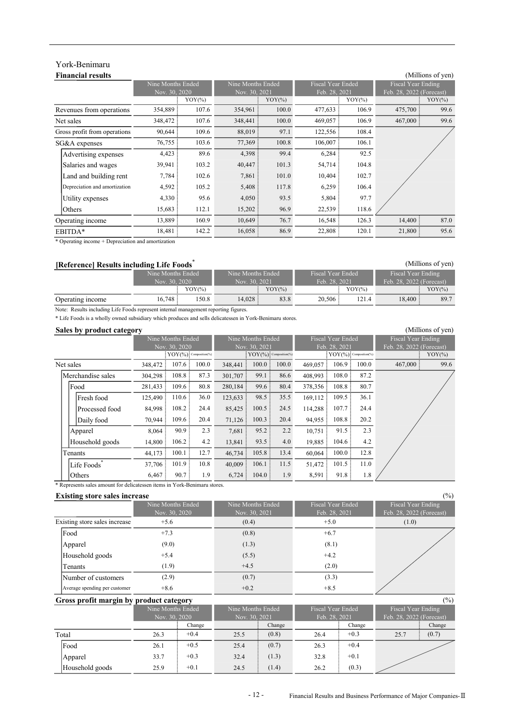## York-Benimaru

#### Financial results (Millions of yen) Nine Months Ended Nov. 30, 2020<br> $\frac{1}{2} \frac{V(Y^{(0)})}{V(Y^{(0)})}$ Nine Months Ended  $\frac{(30, 2021)}{YOY(\%)}$ Fiscal Year Ended Feb. 28, 2021 Fiscal Year Ending Feb. 28, 2022 (Forecast) Revenues from operations Net sales SG&A expenses Advertising expenses Salaries and wages Land and building rent Utility expenses Others Operating income EBITDA\* 18,481 142.2 16,058 86.9 22,808 120.1 13,889 160.9 10,649 76.7 16,548 126.3 14,400 87.0 21,800 95.6 15,683 112.1 15,202 96.9 22,539 118.6 Depreciation and amortization  $4,592$   $105.2$   $5,408$  117.8  $6,259$ Gross profit from operations 90,644 109.6 88,019 97.1 122,556 4,398 99.4 6,284 475,700 99.6 348,472 107.6 348,441 100.0 469,057 106.9 467,000 99.6 108.4 76,755 103.6 77,369 100.8 106,007 106.1  $\overline{\text{YOY}(\%)}$  YOY(%) YOY(%) YOY(%) YOY(%) YOY(%) 354,889 107.6 354,961 100.0 477,633 106.9 106.4 4,330 95.6 4,423 89.6 102.7 92.5 39,941 103.2 40,447 101.3 54,714 104.8 4,050 93.5 5,804 97.7 7,784 102.6 7,861 101.0 10,404

\* Operating income + Depreciation and amortization

| [Reference] Results including Life Foods |                   |           |                   |           |                   |       |                          | (Millions of yen) |  |
|------------------------------------------|-------------------|-----------|-------------------|-----------|-------------------|-------|--------------------------|-------------------|--|
|                                          | Nine Months Ended |           | Nine Months Ended |           | Fiscal Year Ended |       | Fiscal Year Ending       |                   |  |
|                                          | Nov. 30, 2020     |           | Nov. 30, 2021     |           | Feb. 28, 2021     |       | Feb. 28, 2022 (Forecast) |                   |  |
|                                          |                   | $YOY$ (%) |                   | $YOY$ (%) | $YOY$ (%)         |       |                          | $YOY$ (%)         |  |
| Operating income                         | 16.748:           | 150.8     | 14.028:           | 83.8      | 20.506:           | 121.4 | 18,400:                  | 89.7              |  |

Note: Results including Life Foods represent internal management reporting figures.

\* Life Foods is a wholly owned subsidiary which produces and sells delicatessen in York-Benimaru stores.

#### Sales by product category and the second second second second second second second second second second second second second second second second second second second second second second second second second second second

|                   | -       | Nine Months Ended          |       |                            | Nine Months Ended |                                   |         | <b>Fiscal Year Ended</b> |       | <b>Fiscal Year Ending</b> |      |
|-------------------|---------|----------------------------|-------|----------------------------|-------------------|-----------------------------------|---------|--------------------------|-------|---------------------------|------|
|                   |         | Nov. 30, 2020              |       |                            | Nov. 30, 2021     |                                   |         | Feb. 28, 2021            |       | Feb. 28, 2022 (Forecast)  |      |
|                   |         | $YOY(\%)$ : Composition(%) |       | $YOY(\%)$ : Composition(%) |                   | $\mathrm{YOY}(\%)$ Composition(%) |         | $YOY$ (%)                |       |                           |      |
| Net sales         | 348,472 | $107.6 \div$               | 100.0 | 348,441                    | 100.0             | 100.0                             | 469,057 | 106.9                    | 100.0 | 467,000                   | 99.6 |
| Merchandise sales | 304,298 | 108.8                      | 87.3  | 301,707                    | 99.1              | 86.6                              | 408,993 | 108.0                    | 87.2  |                           |      |
| Food              | 281,433 | 109.6                      | 80.8  | 280,184                    | 99.6              | 80.4                              | 378,356 | 108.8                    | 80.7  |                           |      |
| Fresh food        | 125,490 | 110.6                      | 36.0  | 123,633                    | 98.5              | 35.5                              | 169,112 | 109.5                    | 36.1  |                           |      |
| Processed food    | 84,998  | 108.2                      | 24.4  | 85,425                     | 100.5             | 24.5                              | 114,288 | 107.7                    | 24.4  |                           |      |
| Daily food        | 70,944  | 109.6                      | 20.4  | 71,126                     | 100.3             | 20.4                              | 94,955  | 108.8                    | 20.2  |                           |      |
| Apparel           | 8,064   | 90.9                       | 2.3   | 7,681                      | 95.2              | 2.2                               | 10,751  | 91.5                     | 2.3   |                           |      |
| Household goods   | 14,800  | 106.2                      | 4.2   | 13,841                     | 93.5              | 4.0                               | 19,885  | 104.6                    | 4.2   |                           |      |
| Tenants           | 44,173  | 100.1                      | 12.7  | 46,734                     | 105.8             | 13.4                              | 60,064  | 100.0                    | 12.8  |                           |      |
| Life Foods*       | 37,706  | 101.9                      | 10.8  | 40,009                     | 106.1             | 11.5                              | 51,472  | 101.5                    | 11.0  |                           |      |
| Others            | 6,467   | 90.7                       | 1.9   | 6,724                      | 104.0             | 1.9                               | 8,591   | 91.8                     | 1.8   |                           |      |

\* Represents sales amount for delicatessen items in York-Benimaru stores.

#### Existing store sales increase (%)

|                               | Nine Months Ended<br>Nov. 30, 2020 | Nine Months Ended<br>Nov. 30, 2021 | Fiscal Year Ended<br>Feb. 28, 2021 | Fiscal Year Ending<br>Feb. 28, 2022 (Forecast) |
|-------------------------------|------------------------------------|------------------------------------|------------------------------------|------------------------------------------------|
| Existing store sales increase | $+5.6$                             | (0.4)                              | $+5.0$                             | (1.0)                                          |
| Food                          | $+7.3$                             | (0.8)                              | $+6.7$                             |                                                |
| Apparel                       | (9.0)                              | (1.3)                              | (8.1)                              |                                                |
| Household goods               | $+5.4$                             | (5.5)                              | $+4.2$                             |                                                |
| Tenants                       | (1.9)                              | $+4.5$                             | (2.0)                              |                                                |
| Number of customers           | (2.9)                              | (0.7)                              | (3.3)                              |                                                |
| Average spending per customer | $+8.6$                             | $+0.2$                             | $+8.5$                             |                                                |

#### Gross profit margin by product category (%)

|                 | Nine Months Ended |        |               | Fiscal Year Ended<br>Nine Months Ended |               |        | Fiscal Year Ending       |        |  |
|-----------------|-------------------|--------|---------------|----------------------------------------|---------------|--------|--------------------------|--------|--|
|                 | Nov. 30, 2020     |        | Nov. 30, 2021 |                                        | Feb. 28, 2021 |        | Feb. 28, 2022 (Forecast) |        |  |
|                 |                   | Change |               | Change                                 |               | Change |                          | Change |  |
| Total           | 26.3              | $+0.4$ | 25.5          | (0.8)                                  | 26.4          | $+0.3$ | 25.7                     | (0.7)  |  |
| <b>IFood</b>    | 26.1              | $+0.5$ | 25.4          | (0.7)                                  | 26.3          | $+0.4$ |                          |        |  |
| Apparel         | 33.7              | $+0.3$ | 32.4          | (1.3)                                  | 32.8          | $+0.1$ |                          |        |  |
| Household goods | 25.9              | $+0.1$ | 24.5          | (1.4)                                  | 26.2          | (0.3)  |                          |        |  |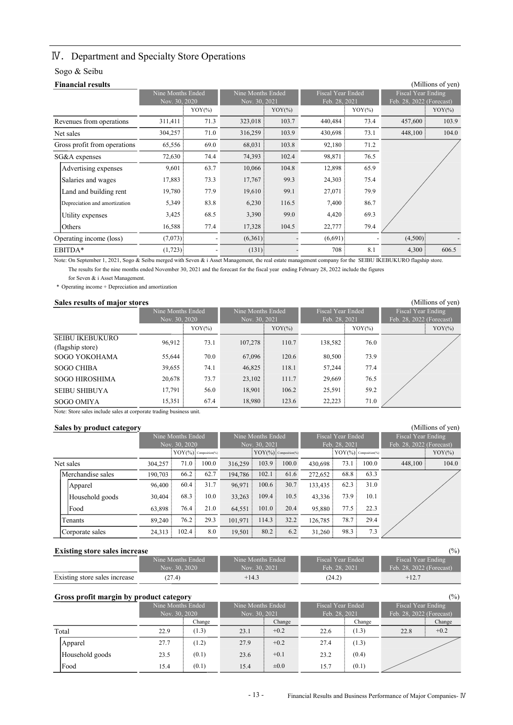## Ⅳ.Department and Specialty Store Operations

### Sogo & Seibu

| <b>Financial results</b>      |                   |           |                   |           |                          |           | (Millions of yen)        |
|-------------------------------|-------------------|-----------|-------------------|-----------|--------------------------|-----------|--------------------------|
|                               | Nine Months Ended |           | Nine Months Ended |           | <b>Fiscal Year Ended</b> |           | Fiscal Year Ending       |
|                               | Nov. 30, 2020     |           | Nov. 30, 2021     |           | Feb. 28, 2021            |           | Feb. 28, 2022 (Forecast) |
|                               |                   | $YOY$ (%) |                   | $YOY(\%)$ |                          | $YOY$ (%) | $YOY$ (%)                |
| Revenues from operations      | 311,411           | 71.3      | 323,018           | 103.7     | 440,484                  | 73.4      | 457,600<br>103.9         |
| Net sales                     | 304,257           | 71.0      | 316,259           | 103.9     | 430,698                  | 73.1      | 448,100:<br>104.0        |
| Gross profit from operations  | 65,556            | 69.0      | 68,031            | 103.8     | 92,180                   | 71.2      |                          |
| SG&A expenses                 | 72,630            | 74.4      | 74,393            | 102.4     | 98,871                   | 76.5      |                          |
| Advertising expenses          | 9,601             | 63.7      | 10,066            | 104.8     | 12,898                   | 65.9      |                          |
| Salaries and wages            | 17,883            | 73.3      | 17,767            | 99.3      | 24,303                   | 75.4      |                          |
| Land and building rent        | 19,780            | 77.9      | 19,610            | 99.1      | 27,071                   | 79.9      |                          |
| Depreciation and amortization | 5,349             | 83.8      | 6,230             | 116.5     | 7,400                    | 86.7      |                          |
| Utility expenses              | 3,425             | 68.5      | 3,390             | 99.0      | 4,420                    | 69.3      |                          |
| Others                        | 16,588            | 77.4      | 17,328            | 104.5     | 22,777                   | 79.4      |                          |
| Operating income (loss)       | $(7,073)$ :       |           | (6,361)           |           | (6,691)                  |           | (4,500)                  |
| EBITDA*                       | $(1,723)$ :       |           | $(131)$ :         |           | 708                      | 8.1       | 606.5<br>4,300           |

Note: On September 1, 2021, Sogo & Seibu merged with Seven & i Asset Management, the real estate management company for the SEIBU IKEBUKURO flagship store. The results for the nine months ended November 30, 2021 and the forecast for the fiscal year ending February 28, 2022 include the figures

for Seven & i Asset Management.

\* Operating income + Depreciation and amortization

#### Sales results of major stores (Millions of yen)

|                                            | Nine Months Ended<br>Nov. 30, 2020 |           |         | Nine Months Ended<br>Nov. 30, 2021 |         | <b>Fiscal Year Ended</b><br>Feb. 28, 2021 | Fiscal Year Ending<br>Feb. 28, 2022 (Forecast) |  |
|--------------------------------------------|------------------------------------|-----------|---------|------------------------------------|---------|-------------------------------------------|------------------------------------------------|--|
|                                            |                                    | $YOY(\%)$ |         | $YOY(\%)$                          |         | $YOY$ (%)                                 | $YOY$ (%)                                      |  |
| <b>SEIBU IKEBUKURO</b><br>(flagship store) | 96.912:                            | 73.1      | 107.278 | 110.7                              | 138,582 | 76.0                                      |                                                |  |
| SOGO YOKOHAMA                              | 55,644                             | 70.0      | 67,096: | 120.6                              | 80,500  | 73.9                                      |                                                |  |
| <b>SOGO CHIBA</b>                          | 39,655                             | 74.1      | 46,825  | 118.1                              | 57,244  | 77.4                                      |                                                |  |
| <b>SOGO HIROSHIMA</b>                      | 20,678:                            | 73.7      | 23,102: | 111.7                              | 29,669  | 76.5                                      |                                                |  |
| <b>SEIBU SHIBUYA</b>                       | 17,791                             | 56.0      | 18,901  | 106.2                              | 25,591  | 59.2                                      |                                                |  |
| SOGO OMIYA                                 | 15,351                             | 67.4      | 18,980  | 123.6                              | 22,223  | 71.0                                      |                                                |  |

Note: Store sales include sales at corporate trading business unit.

#### Sales by product category (Millions of yen) and the state of yen (Millions of yen) and the state of yen) and the state of yen) and the state of yen (Millions of yen) and the state of yen (Millions of yen) and the state of

| . .<br>--         |         |                   |                           |         |                                   |       |         |                          |                            |                          |           |
|-------------------|---------|-------------------|---------------------------|---------|-----------------------------------|-------|---------|--------------------------|----------------------------|--------------------------|-----------|
|                   |         | Nine Months Ended |                           |         | Nine Months Ended                 |       |         | <b>Fiscal Year Ended</b> |                            | Fiscal Year Ending       |           |
|                   |         | Nov. 30, 2020     |                           |         | Nov. 30, 2021                     |       |         | Feb. 28, 2021            |                            | Feb. 28, 2022 (Forecast) |           |
|                   |         |                   | $YOY$ (%): Composition(%) |         | $:$ YOY $($ % $):$ Composition(%) |       |         |                          | $[YOY(\%)]$ Composition(%) |                          | $YOY$ (%) |
| Net sales         | 304.257 | 71.0              | 100.0                     | 316,259 | 103.9:                            | 100.0 | 430,698 | 73.1                     | 100.0                      | 448,100                  | 104.0     |
| Merchandise sales | 190,703 | 66.2              | 62.7                      | 194.786 | 102.1                             | 61.6  | 272,652 | 68.8                     | 63.3                       |                          |           |
| Apparel           | 96,400: | 60.4              | 31.7                      | 96,971  | $100.6 \pm$                       | 30.7  | 133,435 | 62.3                     | 31.0                       |                          |           |
| Household goods   | 30,404  | 68.3              | 10.0                      | 33,263  | 109.4                             | 10.5  | 43,336  | 73.9                     | 10.1                       |                          |           |
| Food              | 63,898  | 76.4              | 21.0                      | 64,551  | 101.0                             | 20.4  | 95,880  | 77.5                     | 22.3                       |                          |           |
| Tenants           | 89,240  | 76.2              | 29.3                      | 101.971 | 114.3:                            | 32.2  | 126,785 | 78.7                     | 29.4                       |                          |           |
| Corporate sales   | 24,313  | 102.4             | 8.0                       | 19,501  | 80.2                              | 6.2   | 31,260  | 98.3                     | 7.3                        |                          |           |

#### Existing store sales increase (%)

| ________                      |                   |                   |                   |                          |
|-------------------------------|-------------------|-------------------|-------------------|--------------------------|
|                               | Nine Months Ended | Nine Months Ended | Fiscal Year Ended | Fiscal Year Ending       |
|                               | Nov. 30, 2020     | Nov. 30, 2021     | Feb. 28, 2021     | Feb. 28, 2022 (Forecast) |
| Existing store sales increase | (27.4)            | $+14.3$           | (24.2)            | $+12.7$                  |

|                 | $(\%)$<br>Gross profit margin by product category |        |                   |           |                   |        |                           |        |  |  |
|-----------------|---------------------------------------------------|--------|-------------------|-----------|-------------------|--------|---------------------------|--------|--|--|
|                 | Nine Months Ended                                 |        | Nine Months Ended |           | Fiscal Year Ended |        | Fiscal Year Ending        |        |  |  |
|                 | Nov. 30, 2020                                     |        | Nov. 30, 2021     |           | Feb. 28, 2021     |        | Feb. 28, 2022 (Forecast). |        |  |  |
|                 |                                                   | Change |                   | Change    |                   | Change |                           | Change |  |  |
| Total           | 22.9                                              | (1.3)  | 23.1              | $+0.2$    | 22.6              | (1.3)  | 22.8                      | $+0.2$ |  |  |
| Apparel         | 27.7                                              | (1.2)  | 27.9              | $+0.2$    | 27.4              | (1.3)  |                           |        |  |  |
| Household goods | 23.5                                              | (0.1)  | 23.6              | $+0.1$    | 23.2              | (0.4)  |                           |        |  |  |
| Food            | 15.4                                              | (0.1)  | 15.4              | $\pm 0.0$ | 15.7              | (0.1)  |                           |        |  |  |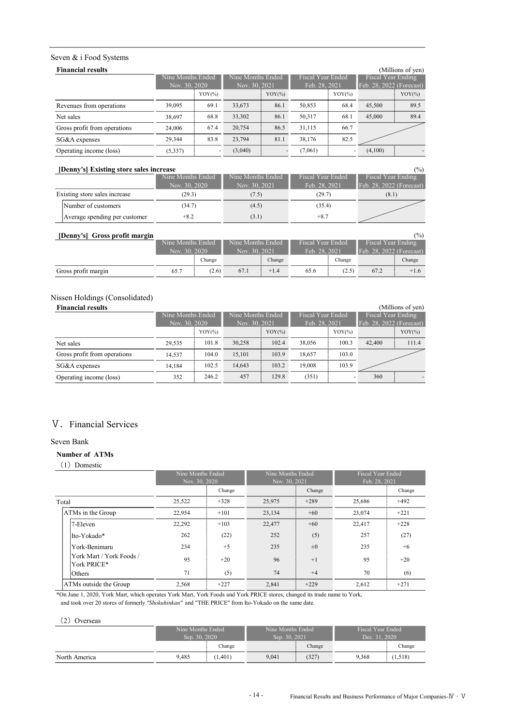#### Seven & i Food Systems

| <b>Financial results</b>     |          |                   |         |                   |                          |               |                          | (Millions of yen) |
|------------------------------|----------|-------------------|---------|-------------------|--------------------------|---------------|--------------------------|-------------------|
|                              |          | Nine Months Ended |         | Nine Months Ended | <b>Fiscal Year Ended</b> |               | Fiscal Year Ending       |                   |
|                              |          | Nov. 30, 2020     |         | Nov. 30, 2021     |                          | Feb. 28, 2021 | Feb. 28, 2022 (Forecast) |                   |
|                              |          | $YOY$ (%)         |         | $YOY$ (%)         |                          | $YOY(\%)$     |                          | $YOY(\%)$         |
| Revenues from operations     | 39,095   | 69.1              | 33,673  | 86.1              | 50,853                   | 68.4          | 45,500                   | 89.5              |
| Net sales                    | 38,697   | 68.8              | 33,302  | 86.1              | 50,317                   | 68.1          | 45,000                   | 89.4              |
| Gross profit from operations | 24,006   | 67.4              | 20,754  | 86.5              | 31,115                   | 66.7          |                          |                   |
| SG&A expenses                | 29.344   | 83.8              | 23,794  | 81.1              | 38,176                   | 82.5          |                          |                   |
| Operating income (loss)      | (5, 337) |                   | (3,040) |                   | (7,061)                  |               | (4,100)                  |                   |

#### [Denny's] Existing store sales increase (%)

| Denny 51 Existing store sales increase |                   |                   |                          | 170 L                    |
|----------------------------------------|-------------------|-------------------|--------------------------|--------------------------|
|                                        | Nine Months Ended | Nine Months Ended | <b>Fiscal Year Ended</b> | Fiscal Year Ending       |
|                                        | Nov. 30, 2020     | Nov. 30, 2021     | Feb. 28, 2021            | Feb. 28, 2022 (Forecast) |
| Existing store sales increase          | (29.3)            | (7.5)             | (29.7)                   | (8.1)                    |
| Number of customers                    | (34.7)            | (4.5)             | (35.4)                   |                          |
| Average spending per customer          | $+8.2$            | (3.1)             | $+8.7$                   |                          |

| [Denny's] Gross profit margin |               |                   |                   |               |                          |               |                    | (%)                      |
|-------------------------------|---------------|-------------------|-------------------|---------------|--------------------------|---------------|--------------------|--------------------------|
|                               |               | Nine Months Ended | Nine Months Ended |               | <b>Fiscal Year Ended</b> |               | Fiscal Year Ending |                          |
|                               | Nov. 30, 2020 |                   |                   | Nov. 30, 2021 |                          | Feb. 28, 2021 |                    | Feb. 28, 2022 (Forecast) |
|                               |               | Change            |                   | Change        |                          | Change        |                    | Change                   |
| Gross profit margin           | 65.7          | (2.6)             | 67.1              | $+1.4$        | 65.6                     | (2.5)         | 67.2               | $+1.6$                   |

### Nissen Holdings (Consolidated)

| <b>Financial results</b>     |                   |               |        |                   |        |                    |        | (Millions of yen)        |
|------------------------------|-------------------|---------------|--------|-------------------|--------|--------------------|--------|--------------------------|
|                              | Nine Months Ended |               |        | Nine Months Ended |        | Fiscal Year Ended' |        | Fiscal Year Ending       |
|                              |                   | Nov. 30, 2020 |        | Nov. 30, 2021     |        | Feb. 28, 2021      |        | Feb. 28, 2022 (Forecast) |
|                              |                   | $YOY$ (%)     |        | $YOY$ (%)         |        | $YOY(\%)$          |        | $YOY(\%)$                |
| Net sales                    | 29.535            | 101.8         | 30,258 | 102.4             | 38,056 | 100.3              | 42,400 | 111.4                    |
| Gross profit from operations | 14.537            | 104.0         | 15,101 | 103.9             | 18.657 | 103.0              |        |                          |
| SG&A expenses                | 14.184            | 102.5         | 14,643 | 103.2             | 19,008 | 103.9              |        |                          |
| Operating income (loss)      | 352               | 246.2         | 457    | 129.8             | (351)  |                    | 360    |                          |

### V. Financial Services

#### Seven Bank

#### Number of ATMs

(1) Domestic

|                                         | Nine Months Ended<br>Nov. 30, 2020 |        | Nine Months Ended<br>Nov. 30, 2021 |         | <b>Fiscal Year Ended</b><br>Feb. 28, 2021 |        |
|-----------------------------------------|------------------------------------|--------|------------------------------------|---------|-------------------------------------------|--------|
|                                         |                                    | Change |                                    | Change  |                                           | Change |
| Total                                   | 25,522                             | $+328$ | 25,975                             | $+289$  | 25,686                                    | $+492$ |
| ATMs in the Group                       | 22.954                             | $+101$ | 23,134                             | $+60$   | 23,074                                    | $+221$ |
| 7-Eleven                                | 22,292                             | $+103$ | 22,477                             | $+60$   | 22,417                                    | $+228$ |
| Ito-Yokado*                             | 262                                | (22)   | 252                                | (5)     | 257                                       | (27)   |
| York-Benimaru                           | 234                                | $+5$   | 235                                | $\pm 0$ | 235                                       | $+6$   |
| York Mart / York Foods /<br>York PRICE* | 95                                 | $+20$  | 96                                 | $+1$    | 95                                        | $+20$  |
| <b>Others</b>                           | 71                                 | (5)    | 74                                 | $+4$    | 70                                        | (6)    |
| ATMs outside the Group                  | 2,568                              | $+227$ | 2,841                              | $+229$  | 2,612                                     | $+271$ |

\*On June 1, 2020, York Mart, which operates York Mart, York Foods and York PRICE stores, changed its trade name to York,

and took over 20 stores of formerly "Shokuhinkan" and "THE PRICE" from Ito-Yokado on the same date.

#### (2) Overseas

|               | Nine Months Ended<br>Sep. 30, 2020 |  | Nine Months Ended<br>Sep. 30, 2021 |        | Fiscal Year Ended<br>Dec. 31, 2020 <sup>1</sup> |        |  |
|---------------|------------------------------------|--|------------------------------------|--------|-------------------------------------------------|--------|--|
|               | Change                             |  |                                    | Change |                                                 | Change |  |
| North America | 9.485<br>(1.401)                   |  | 9.041                              | (327)  | 9.368                                           | 1,518) |  |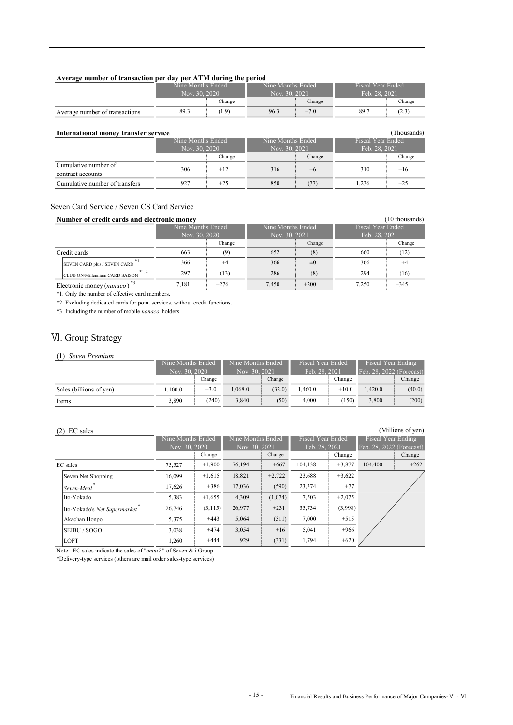#### Average number of transaction per day per ATM during the period

|                                | Nine Months Ended |        | Nine Months Ended |        | <b>Fiscal Year Ended</b> |        |  |
|--------------------------------|-------------------|--------|-------------------|--------|--------------------------|--------|--|
|                                | Nov. 30, 2020     |        | Nov. 30, 2021     |        | Feb. 28, 2021            |        |  |
|                                |                   | Change | Change            |        |                          | Change |  |
| Average number of transactions | 89.3              | (1.9)  | 96.3              | $+7.0$ | 89.7                     | (2.3   |  |

| International money transfer service      |                   |        |                   |        |                          | (Thousands) |  |
|-------------------------------------------|-------------------|--------|-------------------|--------|--------------------------|-------------|--|
|                                           | Nine Months Ended |        | Nine Months Ended |        | <b>Fiscal Year Ended</b> |             |  |
|                                           | Nov. 30, 2020     |        | Nov. 30, 2021     |        | Feb. 28, 2021            |             |  |
|                                           |                   | Change |                   | Change |                          | Change      |  |
| Cumulative number of<br>contract accounts | 306               | $+12$  | 316               | $+6$   | 310                      | $+16$       |  |
| Cumulative number of transfers            | 927               | $+25$  | 850               | (77)   | 1.236                    | $+25$       |  |

#### Seven Card Service / Seven CS Card Service

| Number of credit cards and electronic money<br>(10 thousands) |                   |        |                   |         |                          |        |  |  |  |  |
|---------------------------------------------------------------|-------------------|--------|-------------------|---------|--------------------------|--------|--|--|--|--|
|                                                               | Nine Months Ended |        | Nine Months Ended |         | <b>Fiscal Year Ended</b> |        |  |  |  |  |
|                                                               | Nov. 30, 2020     |        | Nov. 30, 2021     |         | Feb. 28, 2021            |        |  |  |  |  |
|                                                               |                   | Change |                   | Change  |                          | Change |  |  |  |  |
| Credit cards                                                  | 663               | (9)    | 652               | (8)     | 660                      | (12)   |  |  |  |  |
| *1<br>SEVEN CARD plus / SEVEN CARD                            | 366               | $+4$   | 366               | $\pm 0$ | 366                      | $+4$   |  |  |  |  |
| $*1,2$<br>CLUB ON/Millennium CARD SAISON                      | 297               | (13)   | 286               | (8)     | 294                      | (16)   |  |  |  |  |
| Electronic money (nanaco)                                     | 7.181             | $+276$ | 7,450             | $+200$  | 7.250                    | $+345$ |  |  |  |  |

\*1. Only the number of effective card members.

\*2. Excluding dedicated cards for point services, without credit functions.

\*3. Including the number of mobile nanaco holders.

### Ⅵ. Group Strategy

#### (1) Seven Premium

|                         | Nine Months Ended |        | Nine Months Ended |        | <b>Fiscal Year Ended</b> |         | Fiscal Year Ending        |        |
|-------------------------|-------------------|--------|-------------------|--------|--------------------------|---------|---------------------------|--------|
|                         | Nov. 30, 2020     |        | Nov. 30, 2021     |        | Feb. 28, 2021            |         | Feb. 28, 2022 (Forecast). |        |
|                         |                   | Change |                   | Change |                          | Change  |                           | Change |
| Sales (billions of yen) | 1.100.0           | $+3.0$ | 0.068.0           | (32.0) | 1.460.0                  | $+10.0$ | 1.420.0                   | (40.0) |
| Items                   | 3.890             | (240)  | 3,840             | (50)   | 4.000                    | (150)   | 3,800                     | (200)  |

(2) EC sales (Millions of yen)

|                              |               | Nine Months Ended |               | Nine Months Ended | <b>Fiscal Year Ended</b> |          | Fiscal Year Ending       |        |
|------------------------------|---------------|-------------------|---------------|-------------------|--------------------------|----------|--------------------------|--------|
|                              | Nov. 30, 2020 |                   | Nov. 30, 2021 |                   | Feb. 28, 2021            |          | Feb. 28, 2022 (Forecast) |        |
|                              |               | Change            |               | Change            |                          | Change   |                          | Change |
| EC sales                     | 75,527        | $+1.900$          | 76,194        | $+667$            | 104,138                  | $+3,877$ | 104,400                  | $+262$ |
| Seven Net Shopping           | 16.099        | $+1.615$          | 18,821        | $+2.722$          | 23,688                   | $+3,622$ |                          |        |
| Seven-Meal                   | 17,626        | $+386$            | 17,036        | (590)             | 23,374                   | $+77$    |                          |        |
| Ito-Yokado                   | 5,383         | $+1,655$          | 4,309         | (1,074)           | 7,503                    | $+2,075$ |                          |        |
| Ito-Yokado's Net Supermarket | 26,746        | (3, 115)          | 26,977        | $+231$            | 35,734                   | (3,998)  |                          |        |
| Akachan Honpo                | 5,375         | $+443$            | 5,064         | (311)             | 7.000                    | $+515$   |                          |        |
| SEIBU / SOGO                 | 3,038         | $+474$            | 3,054         | $+16$             | 5.041                    | $+966$   |                          |        |
| LOFT                         | 1.260         | $+444$            | 929           | (331)             | 1.794                    | $+620$   |                          |        |

Note: EC sales indicate the sales of "*omni*7" of Seven & i Group.

\*Delivery-type services (others are mail order sales-type services)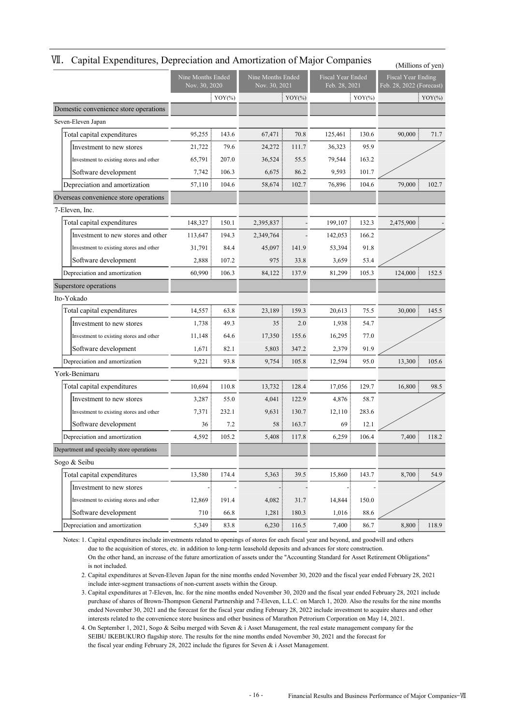|                                           |                                    |                           |                                    |           |                                           |           | (Millions of yen)                                     |           |
|-------------------------------------------|------------------------------------|---------------------------|------------------------------------|-----------|-------------------------------------------|-----------|-------------------------------------------------------|-----------|
|                                           | Nine Months Ended<br>Nov. 30, 2020 |                           | Nine Months Ended<br>Nov. 30, 2021 |           | <b>Fiscal Year Ended</b><br>Feb. 28, 2021 |           | <b>Fiscal Year Ending</b><br>Feb. 28, 2022 (Forecast) |           |
|                                           |                                    | $\frac{1}{2}$ YOY $(\% )$ |                                    | $YOY$ (%) |                                           | $YOY(\%)$ |                                                       | $YOY$ (%) |
| Domestic convenience store operations     |                                    |                           |                                    |           |                                           |           |                                                       |           |
| Seven-Eleven Japan                        |                                    |                           |                                    |           |                                           |           |                                                       |           |
| Total capital expenditures                | 95,255                             | 143.6                     | 67,471                             | 70.8      | 125,461                                   | 130.6     | 90,000                                                | 71.7      |
| Investment to new stores                  | 21,722                             | 79.6                      | 24,272                             | 111.7     | 36,323                                    | 95.9      |                                                       |           |
| Investment to existing stores and other   | 65,791                             | 207.0                     | 36,524                             | 55.5      | 79,544                                    | 163.2     |                                                       |           |
| Software development                      | 7,742:                             | 106.3                     | 6,675                              | 86.2      | 9,593                                     | 101.7     |                                                       |           |
| Depreciation and amortization             | 57,110                             | 104.6                     | 58,674                             | 102.7     | 76,896                                    | 104.6     | 79,000                                                | 102.7     |
| Overseas convenience store operations     |                                    |                           |                                    |           |                                           |           |                                                       |           |
| 7-Eleven, Inc.                            |                                    |                           |                                    |           |                                           |           |                                                       |           |
| Total capital expenditures                | 148,327                            | 150.1                     | 2,395,837                          |           | 199,107                                   | 132.3     | 2,475,900                                             |           |
| Investment to new stores and other        | 113,647                            | 194.3                     | 2,349,764                          |           | 142,053                                   | 166.2     |                                                       |           |
| Investment to existing stores and other   | 31,791                             | 84.4                      | 45,097                             | 141.9     | 53,394                                    | 91.8      |                                                       |           |
| Software development                      | 2,888                              | 107.2                     | 975                                | 33.8      | 3,659                                     | 53.4      |                                                       |           |
| Depreciation and amortization             | 60,990                             | 106.3                     | 84,122                             | 137.9     | 81,299                                    | 105.3     | 124,000                                               | 152.5     |
| Superstore operations                     |                                    |                           |                                    |           |                                           |           |                                                       |           |
| Ito-Yokado                                |                                    |                           |                                    |           |                                           |           |                                                       |           |
| Total capital expenditures                | 14,557                             | 63.8                      | 23,189                             | 159.3     | 20.613                                    | 75.5      | 30,000                                                | 145.5     |
| Investment to new stores                  | 1,738                              | 49.3                      | 35                                 | 2.0       | 1,938                                     | 54.7      |                                                       |           |
| Investment to existing stores and other   | 11,148                             | 64.6                      | 17,350                             | 155.6     | 16,295                                    | 77.0      |                                                       |           |
| Software development                      | 1,671                              | 82.1                      | 5,803                              | 347.2     | 2,379                                     | 91.9      |                                                       |           |
| Depreciation and amortization             | 9,221                              | 93.8                      | 9,754                              | 105.8     | 12,594                                    | 95.0      | 13,300                                                | 105.6     |
| York-Benimaru                             |                                    |                           |                                    |           |                                           |           |                                                       |           |
| Total capital expenditures                | 10,694                             | 110.8                     | 13,732                             | 128.4     | 17,056                                    | 129.7     | 16,800                                                | 98.5      |
| Investment to new stores                  | 3,287                              | 55.0                      | 4,041                              | 122.9     | 4,876:                                    | 58.7      |                                                       |           |
| Investment to existing stores and other   | 7,371                              | 232.1                     | 9,631                              | 130.7     | 12,110                                    | 283.6     |                                                       |           |
| Software development                      | 36                                 | 7.2                       | 58                                 | 163.7     | 69                                        | 12.1      |                                                       |           |
| Depreciation and amortization             | 4,592                              | 105.2                     | 5,408                              | 117.8     | 6,259                                     | 106.4     | 7,400                                                 | 118.2     |
| Department and specialty store operations |                                    |                           |                                    |           |                                           |           |                                                       |           |
| Sogo & Seibu                              |                                    |                           |                                    |           |                                           |           |                                                       |           |
| Total capital expenditures                | 13,580                             | 174.4                     | 5,363                              | 39.5      | 15,860                                    | 143.7     | 8,700                                                 | 54.9      |
| Investment to new stores                  |                                    |                           |                                    |           |                                           |           |                                                       |           |
| Investment to existing stores and other   | 12,869                             | 191.4                     | 4,082                              | 31.7      | 14,844                                    | 150.0     |                                                       |           |
| Software development                      | 710                                | 66.8                      | 1,281                              | 180.3     | 1,016                                     | 88.6      |                                                       |           |
| Depreciation and amortization             | 5,349                              | 83.8                      | 6,230                              | 116.5     | 7,400:                                    | 86.7      | 8,800                                                 | 118.9     |

#### WI. Capital Expenditures, Depreciation and Amortization of Major Companies

Notes: 1. Capital expenditures include investments related to openings of stores for each fiscal year and beyond, and goodwill and others due to the acquisition of stores, etc. in addition to long-term leasehold deposits and advances for store construction. On the other hand, an increase of the future amortization of assets under the "Accounting Standard for Asset Retirement Obligations" is not included.

2. Capital expenditures at Seven-Eleven Japan for the nine months ended November 30, 2020 and the fiscal year ended February 28, 2021 include inter-segment transactions of non-current assets within the Group.

Notes: 3. Capital expenditures at 7-Eleven, Inc. for the nine months ended November 30, 2020 and the fiscal year ended February 28, 2021 include purchase of shares of Brown-Thompson General Partnership and 7-Eleven, L.L.C. on March 1, 2020. Also the results for the nine months ended November 30, 2021 and the forecast for the fiscal year ending February 28, 2022 include investment to acquire shares and other interests related to the convenience store business and other business of Marathon Petrorium Corporation on May 14, 2021.

4. On September 1, 2021, Sogo & Seibu merged with Seven & i Asset Management, the real estate management company for the SEIBU IKEBUKURO flagship store. The results for the nine months ended November 30, 2021 and the forecast for the fiscal year ending February 28, 2022 include the figures for Seven  $\&$  i Asset Management.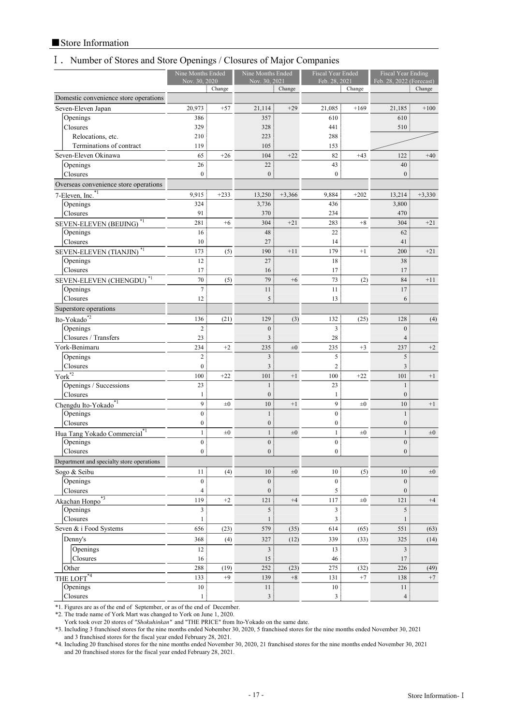### ■Store Information

## Ⅰ.Number of Stores and Store Openings / Closures of Major Companies

|                                                  | Nine Months Ended<br>Nov. 30, 2020 |         | Nine Months Ended<br>Nov. 30, 2021 |          | <b>Fiscal Year Ended</b><br>Feb. 28, 2021 |         | Fiscal Year Ending<br>Feb. 28, 2022 (Forecast) |          |
|--------------------------------------------------|------------------------------------|---------|------------------------------------|----------|-------------------------------------------|---------|------------------------------------------------|----------|
|                                                  |                                    | Change  |                                    | Change   |                                           | Change  |                                                | Change   |
| Domestic convenience store operations            |                                    |         |                                    |          |                                           |         |                                                |          |
| Seven-Eleven Japan                               | 20,973                             | $+57$   | 21,114                             | $+29$    | 21,085                                    | $+169$  | 21,185                                         | $+100$   |
| Openings                                         | 386                                |         | 357                                |          | 610                                       |         | 610                                            |          |
| Closures                                         | 329                                |         | 328                                |          | 441                                       |         | 510                                            |          |
| Relocations, etc.                                | 210                                |         | 223                                |          | 288                                       |         |                                                |          |
| Terminations of contract                         | 119                                |         | 105                                |          | 153                                       |         |                                                |          |
| Seven-Eleven Okinawa                             | 65                                 | $+26$   | 104                                | $+22$    | 82                                        | $+43$   | 122                                            | $+40$    |
| Openings                                         | 26                                 |         | 22                                 |          | 43                                        |         | 40                                             |          |
| Closures                                         | 0 <sub>1</sub>                     |         | $\overline{0}$                     |          | $\mathbf{0}$                              |         | $\boldsymbol{0}$                               |          |
| Overseas convenience store operations            |                                    |         |                                    |          |                                           |         |                                                |          |
| $7$ -Eleven, Inc. $\overline{1}$                 | 9,915                              | $+233$  | 13,250                             | $+3,366$ | 9,884                                     | $+202$  | 13,214                                         | $+3,330$ |
| Openings                                         | 324                                |         | 3,736                              |          | 436                                       |         | 3,800                                          |          |
| Closures                                         | 91                                 |         | 370                                |          | 234                                       |         | 470                                            |          |
| SEVEN-ELEVEN (BEIJING) <sup>*1</sup>             | 281                                | $+6$    | 304                                | $+21$    | 283                                       | $+8$    | 304                                            | $+21$    |
| Openings                                         | 16                                 |         | 48                                 |          | 22                                        |         | 62                                             |          |
| Closures                                         | 10                                 |         | 27                                 |          | 14                                        |         | 41                                             |          |
| SEVEN-ELEVEN (TIANJIN) <sup>*1</sup>             | 173                                | (5)     | 190                                | $+11$    | 179                                       | $+1$    | 200                                            | $+21$    |
| Openings<br>Closures                             | 12<br>17                           |         | 27<br>16                           |          | 18                                        |         | 38<br>17                                       |          |
|                                                  | 70                                 |         | 79                                 | $+6$     | 17<br>73                                  |         | 84                                             | $+11$    |
| SEVEN-ELEVEN (CHENGDU) <sup>*1</sup><br>Openings | $\overline{7}$                     | (5)     | 11                                 |          | 11                                        | (2)     | 17                                             |          |
| Closures                                         | 12                                 |         | 5:                                 |          | 13:                                       |         | 6                                              |          |
| Superstore operations                            |                                    |         |                                    |          |                                           |         |                                                |          |
| Ito-Yokado*2                                     | 136                                | (21)    | 129                                | (3)      | 132                                       | (25)    | 128                                            | (4)      |
| Openings                                         | $\overline{c}$                     |         | $\mathbf{0}$                       |          | 3                                         |         | $\mathbf{0}$                                   |          |
| Closures / Transfers                             | 23                                 |         | 3                                  |          | 28                                        |         | $\overline{4}$                                 |          |
| York-Benimaru                                    | 234                                | $+2$    | 235                                | $\pm 0$  | 235                                       | $+3$    | 237                                            | $+2$     |
| Openings                                         | $\overline{c}$                     |         | 3                                  |          | 5 :                                       |         | 5                                              |          |
| Closures                                         | $\boldsymbol{0}$                   |         | 3                                  |          | $\overline{2}$                            |         | 3                                              |          |
| York $^{\overline{*2}}$                          | 100                                | $+22$   | 101                                | $+1$     | 100                                       | $+22$   | 101                                            | $+1$     |
| Openings / Successions                           | 23                                 |         | $\mathbf{1}$                       |          | 23                                        |         | $\mathbf{1}$                                   |          |
| Closures                                         | $\mathbf{1}$                       |         | $\boldsymbol{0}$                   |          | $\mathbf{1}$                              |         | $\boldsymbol{0}$                               |          |
| Chengdu Ito-Yokado*1                             | 9 <sup>1</sup>                     | $\pm 0$ | 10 <sup>10</sup>                   | $+1$     | 9:                                        | $\pm 0$ | $10\,$                                         | $+1$     |
| Openings                                         | $\overline{0}$                     |         | $\mathbf{1}$                       |          | $\overline{0}$                            |         | $\mathbf{1}$                                   |          |
| Closures                                         | $\vert 0 \vert$                    |         | $\boldsymbol{0}$                   |          | $\boldsymbol{0}$                          |         | $\boldsymbol{0}$                               |          |
| Hua Tang Yokado Commercial <sup>*1</sup>         | 1                                  | $\pm 0$ | $\mathbf{1}$                       | $\pm 0$  | 1                                         | $\pm 0$ | $\mathbf{1}$                                   | $\pm 0$  |
| Openings                                         | $\overline{0}$                     |         | $\overline{0}$                     |          | $\overline{0}$                            |         | $\mathbf{0}$                                   |          |
| Closures                                         | $\boldsymbol{0}$                   |         | $\overline{0}$                     |          | $\overline{0}$                            |         | $\boldsymbol{0}$                               |          |
| Department and specialty store operations        |                                    |         |                                    |          |                                           |         |                                                |          |
| Sogo & Seibu                                     | 11                                 | (4)     | 10                                 | $\pm 0$  | 10                                        | (5)     | 10                                             | $\pm 0$  |
| Openings                                         | $\overline{0}$                     |         | 0                                  |          | 0                                         |         | $\boldsymbol{0}$                               |          |
| Closures                                         | $\overline{4}$                     |         | $\mathbf{0}$                       |          | 5:                                        |         | $\boldsymbol{0}$                               |          |
| Akachan Honpo <sup>*3</sup>                      | 119                                | $+2$    | 121                                | $+4$     | 117:                                      | $\pm 0$ | 121                                            | $+4$     |
| Openings<br>Closures                             | $\overline{\mathbf{3}}$            |         | 5 <sup>3</sup>                     |          | $\overline{3}$                            |         | 5                                              |          |
| Seven & i Food Systems                           | 1:<br>656                          | (23)    | $\mathbf{1}$<br>579                | (35)     | 3<br>614:                                 | (65)    | 1<br>551                                       | (63)     |
|                                                  |                                    |         |                                    |          |                                           |         |                                                |          |
| Denny's                                          | 368                                | (4)     | 327                                | (12)     | 339                                       | (33)    | 325                                            | (14)     |
| Openings<br>Closures                             | 12                                 |         | 3 <sup>3</sup>                     |          | 13                                        |         | $\overline{\mathbf{3}}$                        |          |
| Other                                            | 16<br>288                          | (19)    | 15<br>252                          | (23)     | 46<br>275                                 | (32)    | 17<br>226                                      | (49)     |
| THE LOFT <sup>*4</sup>                           | 133                                | $+9$    | 139                                | $+8$     | 131                                       | $+7$    | 138                                            | $+7$     |
| Openings                                         | $10\,$                             |         | $11\,$                             |          | $10\,$                                    |         | 11                                             |          |
| Closures                                         | $\mathbf{1}$                       |         | 3 <sup>1</sup>                     |          | 3:                                        |         | $\overline{\mathcal{A}}$                       |          |
|                                                  |                                    |         |                                    |          |                                           |         |                                                |          |

\*1. Figures are as of the end of September, or as of the end of December.

\*2. The trade name of York Mart was changed to York on June 1, 2020.

York took over 20 stores of "Shokuhinkan" and "THE PRICE" from Ito-Yokado on the same date.

\*3. Including 3 franchised stores for the nine months ended Nobember 30, 2020, 5 franchised stores for the nine months ended November 30, 2021 and 3 franchised stores for the fiscal year ended February 28, 2021.

\*4. Including 20 franchised stores for the nine months ended November 30, 2020, 21 franchised stores for the nine months ended November 30, 2021 and 20 franchised stores for the fiscal year ended February 28, 2021.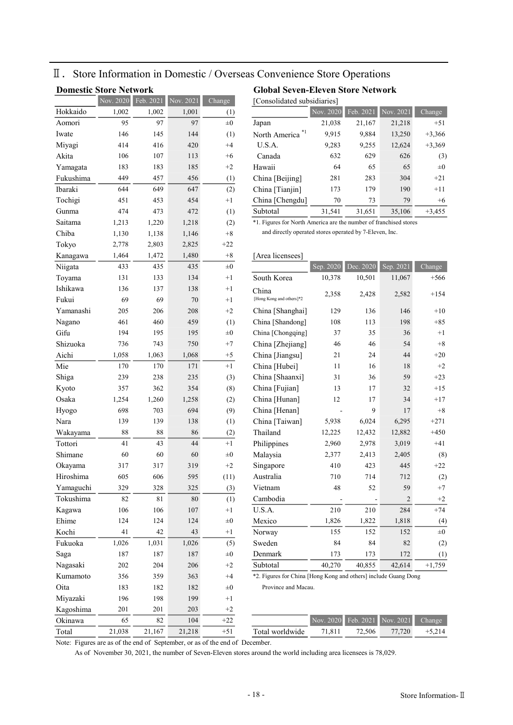## Ⅱ.Store Information in Domestic / Overseas Convenience Store Operations

| <b>Domestic Store Network</b><br><b>Global Seven-Eleven Store Network</b> |           |             |           |            |                                                           |           |           |                          |  |  |  |  |
|---------------------------------------------------------------------------|-----------|-------------|-----------|------------|-----------------------------------------------------------|-----------|-----------|--------------------------|--|--|--|--|
|                                                                           | Nov. 2020 | Feb. 2021   | Nov. 2021 | Change     | [Consolidated subsidiaries]                               |           |           |                          |  |  |  |  |
| Hokkaido                                                                  | 1,002     | 1,002       | 1,001     | (1)        |                                                           | Nov. 2020 | Feb. 2021 | Nov.                     |  |  |  |  |
| Aomori                                                                    | 95        | 97          | 97        | $\pm 0$    | Japan                                                     | 21,038    | 21,167    | 21                       |  |  |  |  |
| Iwate                                                                     | 146       | 145         | 144       | (1)        | North America                                             | 9,915     | 9,884     | 13                       |  |  |  |  |
| Miyagi                                                                    | 414       | 416         | 420       | $+4$       | U.S.A.                                                    | 9,283     | 9,255     | 12                       |  |  |  |  |
| Akita                                                                     | 106       | 107         | 113       | $+6$       | Canada                                                    | 632       | 629       |                          |  |  |  |  |
| Yamagata                                                                  | 183       | 183         | 185       | $+2$       | Hawaii                                                    | 64        | 65        |                          |  |  |  |  |
| Fukushima                                                                 | 449       | 457         | 456       | (1)        | China [Beijing]                                           | 281       | 283       |                          |  |  |  |  |
| Ibaraki                                                                   | 644       | 649         | 647       | (2)        | China [Tianjin]                                           | 173       | 179       |                          |  |  |  |  |
| Tochigi                                                                   | 451       | 453         | 454       | $+1$       | China [Chengdu]                                           | 70        | 73        |                          |  |  |  |  |
| Gunma                                                                     | 474       | 473         | 472       | (1)        | Subtotal                                                  | 31,541    | 31,651    | 35                       |  |  |  |  |
| Saitama                                                                   | 1,213     | 1,220       | 1,218     | (2)        | *1. Figures for North America are the number of franchise |           |           |                          |  |  |  |  |
| Chiba                                                                     | 1,130     | 1,138       | 1,146     | $+8$       | and directly operated stores operated by 7-Eleven, Inc.   |           |           |                          |  |  |  |  |
| Tokyo                                                                     | 2,778     | 2,803       | 2,825     | $+22$      |                                                           |           |           |                          |  |  |  |  |
| Kanagawa                                                                  | 1,464     | 1,472       | 1,480     | $+8$       | [Area licensees]                                          |           |           |                          |  |  |  |  |
| Niigata                                                                   | 433       | 435         | 435       | $_{\pm 0}$ |                                                           | Sep. 2020 | Dec. 2020 | Sep.                     |  |  |  |  |
| Toyama                                                                    | 131       | 133         | 134       | $+1$       | South Korea                                               | 10,378    | 10,501    | 11                       |  |  |  |  |
| Ishikawa                                                                  | 136       | 137         | 138       | $+1$       | China                                                     |           |           |                          |  |  |  |  |
| Fukui                                                                     | 69        | 69          | 70        | $+1$       | [Hong Kong and others]*2                                  | 2,358     | 2,428     | 2                        |  |  |  |  |
| Yamanashi                                                                 | 205       | 206         | 208       | $+2$       | China [Shanghai]                                          | 129       | 136       |                          |  |  |  |  |
| Nagano                                                                    | 461       | 460         | 459       | (1)        | China [Shandong]                                          | 108       | 113       |                          |  |  |  |  |
| Gifu                                                                      | 194       | 195         | 195       | $_{\pm 0}$ | China [Chongqing]                                         | 37        | 35        |                          |  |  |  |  |
| Shizuoka                                                                  | 736       | 743         | 750       | $+7$       | China [Zhejiang]                                          | 46        | 46        |                          |  |  |  |  |
| Aichi                                                                     | 1,058     | 1,063       | 1,068     | $+5$       | China [Jiangsu]                                           | 21        | 24        |                          |  |  |  |  |
| Mie                                                                       | 170       | 170         | 171       | $+1$       | China [Hubei]                                             | 11        | 16        |                          |  |  |  |  |
| Shiga                                                                     | 239       | 238         | 235       | (3)        | China [Shaanxi]                                           | 31        | 36        |                          |  |  |  |  |
| Kyoto                                                                     | 357       | 362         | 354       | (8)        | China [Fujian]                                            | 13        | 17        |                          |  |  |  |  |
| Osaka                                                                     | 1,254     | 1,260       | 1,258     | (2)        | China [Hunan]                                             | 12        | 17        |                          |  |  |  |  |
| Hyogo                                                                     | 698       | 703         | 694       | (9)        | China [Henan]                                             |           | 9         |                          |  |  |  |  |
| Nara                                                                      | 139       | 139         | 138       | (1)        | China [Taiwan]                                            | 5,938     | 6,024     | $\epsilon$               |  |  |  |  |
| Wakayama                                                                  | 88        | 88          | 86        | (2)        | Thailand                                                  | 12,225    | 12,432    | 12                       |  |  |  |  |
| Tottori                                                                   | 41        | 43          | 44        | $+1$       | Philippines                                               | 2,960     | 2,978     | $\mathbf{3}$             |  |  |  |  |
| Shimane                                                                   | 60        | 60          | 60        | $\pm 0$    | Malaysia                                                  | 2,377     | 2,413     | $\overline{c}$           |  |  |  |  |
| Okayama                                                                   | 317       | 317         | 319       | $+2$       | Singapore                                                 | 410       | 423       |                          |  |  |  |  |
| Hiroshima                                                                 | 605       | 606         | 595       | (11)       | Australia                                                 | 710       | 714       |                          |  |  |  |  |
| Yamaguchi                                                                 | 329       | 328         | 325       | (3)        | Vietnam                                                   | 48        | 52        |                          |  |  |  |  |
| Tokushima                                                                 | 82        | $8\sqrt{1}$ | $80\,$    | (1)        | Cambodia                                                  |           |           |                          |  |  |  |  |
| Kagawa                                                                    | 106       | 106         | 107       | $+1$       | U.S.A.                                                    | 210       | 210       |                          |  |  |  |  |
| Ehime                                                                     | 124       | 124         | 124       | $\pm 0$    | Mexico                                                    | 1,826     | 1,822     |                          |  |  |  |  |
| Kochi                                                                     | 41        | 42          | 43        | $+1$       | Norway                                                    | 155       | 152       |                          |  |  |  |  |
| Fukuoka                                                                   | 1,026     | 1,031       | 1,026     | (5)        | Sweden                                                    | 84        | 84        |                          |  |  |  |  |
| Saga                                                                      | 187       | 187         | 187       | $\pm 0$    | Denmark                                                   | 173       | 173       |                          |  |  |  |  |
| Nagasaki                                                                  | 202       | 204         | 206       | $+2$       | Subtotal                                                  | 40,270    | 40,855    | 42                       |  |  |  |  |
| Kumamoto                                                                  | 356       | 359         | 363       | $+4$       | *2. Figures for China [Hong Kong and others] include Gua  |           |           |                          |  |  |  |  |
| Oita                                                                      | 183       | 182         | 182       | $\pm 0$    | Province and Macau.                                       |           |           |                          |  |  |  |  |
| Miyazaki                                                                  | 196       | 198         | 199       | $+1$       |                                                           |           |           |                          |  |  |  |  |
| Kagoshima                                                                 | 201       | 201         | 203       | $+2$       |                                                           |           |           |                          |  |  |  |  |
| Okinawa                                                                   | 65        | 82          | 104       | $+22$      |                                                           | Nov. 2020 | Feb. 2021 | $\overline{\text{Nov.}}$ |  |  |  |  |
| Total                                                                     | 21,038    | 21,167      | 21,218    | $+51$      | Total worldwide                                           | 71,811    | 72,506    | 77                       |  |  |  |  |

|           | <b>NOV. 2020</b> | Feb. 2021 | <b>NOV.</b> 2021 | Change  | LONSOIIdated subsidiaries i |           |           |           |          |
|-----------|------------------|-----------|------------------|---------|-----------------------------|-----------|-----------|-----------|----------|
| Hokkaido  | 1.002            | 1.002     | 1,001            | (1)     |                             | Nov. 2020 | Feb. 2021 | Nov. 2021 | Change   |
| Aomori    | 95               | 97        | 97               | $\pm 0$ | Japan                       | 21,038    | 21,167    | 21,218    | $+51$    |
| Iwate     | 146              | 145       | 144              | (1)     | North America <sup>*1</sup> | 9,915     | 9,884     | 13,250    | $+3,366$ |
| Miyagi    | 414              | 416       | 420              | $+4$    | U.S.A.                      | 9,283     | 9,255     | 12,624    | $+3,369$ |
| Akita     | 106              | 107       | 113              | $+6$    | Canada                      | 632       | 629       | 626       | (3)      |
| Yamagata  | 183              | 183       | 185              | $+2$    | Hawaii                      | 64        | 65        | 65        | $\pm 0$  |
| Fukushima | 449              | 457       | 456              | (1)     | China [Beijing]             | 281       | 283       | 304       | $+21$    |
| Ibaraki   | 644              | 649       | 647              | (2)     | China [Tianjin]             | 173       | 179       | 190       | $+11$    |
| Tochigi   | 451              | 453       | 454              | $+1$    | China [Chengdu]             | 70        | 73        | 79        | $+6$     |
| Gunma     | 474              | 473       | 472              | (1)     | Subtotal                    | 31,541    | 31,651    | 35,106    | $+3,455$ |

 $\overline{\phantom{a}^*1.}$  Figures for North America are the number of franchised stores

| Kanagawa  | 1,464 | 1,472 | 1,480 | $+8$    | [Area licensees]         |           |           |           |          |
|-----------|-------|-------|-------|---------|--------------------------|-----------|-----------|-----------|----------|
| Niigata   | 433   | 435   | 435   | $\pm 0$ |                          | Sep. 2020 | Dec. 2020 | Sep. 2021 | Change   |
| Toyama    | 131   | 133   | 134   | $+1$    | South Korea              | 10,378    | 10,501    | 11,067    | $+566$   |
| Ishikawa  | 136   | 137   | 138   | $+1$    | China                    | 2,358     | 2,428     | 2,582     | $+154$   |
| Fukui     | 69    | 69    | 70    | $+1$    | [Hong Kong and others]*2 |           |           |           |          |
| Yamanashi | 205   | 206   | 208   | $+2$    | China [Shanghai]         | 129       | 136       | 146       | $+10$    |
| Nagano    | 461   | 460   | 459   | (1)     | China [Shandong]         | 108       | 113       | 198       | $+85$    |
| Gifu      | 194   | 195   | 195   | $\pm 0$ | China [Chongqing]        | 37        | 35        | 36        | $+1$     |
| Shizuoka  | 736   | 743   | 750   | $+7$    | China [Zhejiang]         | 46        | 46        | 54        | $\bf+8$  |
| Aichi     | 1,058 | 1,063 | 1,068 | $+5$    | China [Jiangsu]          | 21        | 24        | 44        | $+20$    |
| Mie       | 170   | 170   | 171   | $+1$    | China [Hubei]            | 11        | 16        | 18        | $+2$     |
| Shiga     | 239   | 238   | 235   | (3)     | China [Shaanxi]          | 31        | 36        | 59        | $+23$    |
| Kyoto     | 357   | 362   | 354   | (8)     | China [Fujian]           | 13        | 17        | 32        | $+15$    |
| Osaka     | 1,254 | 1,260 | 1,258 | (2)     | China [Hunan]            | 12        | 17        | 34        | $+17$    |
| Hyogo     | 698   | 703   | 694   | (9)     | China [Henan]            |           | 9         | 17        | $+8$     |
| Nara      | 139   | 139   | 138   | (1)     | China [Taiwan]           | 5,938     | 6,024     | 6,295     | $+271$   |
| Wakayama  | 88    | 88    | 86    | (2)     | Thailand                 | 12,225    | 12,432    | 12,882    | $+450$   |
| Tottori   | 41    | 43    | 44    | $+1$    | Philippines              | 2,960     | 2,978     | 3,019     | $+41$    |
| Shimane   | 60    | 60    | 60    | $\pm 0$ | Malaysia                 | 2,377     | 2,413     | 2,405     | (8)      |
| Okayama   | 317   | 317   | 319   | $+2$    | Singapore                | 410       | 423       | 445       | $+22$    |
| Hiroshima | 605   | 606   | 595   | (11)    | Australia                | 710       | 714       | 712       | (2)      |
| Yamaguchi | 329   | 328   | 325   | (3)     | Vietnam                  | 48        | 52        | 59        | $+7$     |
| Tokushima | 82    | 81    | 80    | (1)     | Cambodia                 |           |           | 2         | $+2$     |
| Kagawa    | 106   | 106   | 107   | $+1$    | U.S.A.                   | 210       | 210       | 284       | $+74$    |
| Ehime     | 124   | 124   | 124   | $\pm 0$ | Mexico                   | 1,826     | 1,822     | 1,818     | (4)      |
| Kochi     | 41    | 42    | 43    | $+1$    | Norway                   | 155       | 152       | 152       | $\pm 0$  |
| Fukuoka   | 1,026 | 1,031 | 1,026 | (5)     | Sweden                   | 84        | 84        | 82        | (2)      |
| Saga      | 187   | 187   | 187   | $\pm 0$ | Denmark                  | 173       | 173       | 172       | (1)      |
| Nagasaki  | 202   | 204   | 206   | $+2$    | Subtotal                 | 40,270    | 40,855    | 42,614    | $+1,759$ |

\*2. Figures for China [Hong Kong and others] include Guang Dong

| Okinawa |        |        | 104    | $\sim$ |                 | Nov    |        | 2020 Feb. 2021 Nov. 2021 | $\mathcal{L}$ hange |
|---------|--------|--------|--------|--------|-----------------|--------|--------|--------------------------|---------------------|
| Total   | 21.038 | 21.167 | 21,218 |        | Fotal worldwide | 71.811 | 72.506 | 77.720                   |                     |

Note: Figures are as of the end of September, or as of the end of December.

As of November 30, 2021, the number of Seven-Eleven stores around the world including area licensees is 78,029.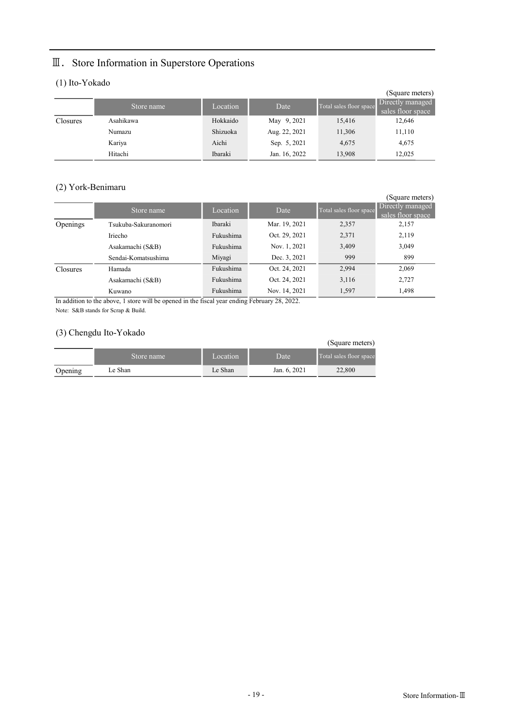## Ⅲ.Store Information in Superstore Operations

### (1) Ito-Yokado

|          |            |          |               |                         | (Square meters)   |
|----------|------------|----------|---------------|-------------------------|-------------------|
|          | Store name | Location | Date          | Total sales floor space | Directly managed  |
|          |            |          |               |                         | sales floor space |
| Closures | Asahikawa  | Hokkaido | May 9, 2021   | 15,416                  | 12,646            |
|          | Numazu     | Shizuoka | Aug. 22, 2021 | 11,306                  | 11,110            |
|          | Kariya     | Aichi    | Sep. 5, 2021  | 4,675                   | 4,675             |
|          | Hitachi    | Ibaraki  | Jan. 16, 2022 | 13.908                  | 12.025            |

### (2) York-Benimaru

| $\sim$          |                      |                |               |                         | (Square meters)                       |
|-----------------|----------------------|----------------|---------------|-------------------------|---------------------------------------|
|                 | Store name           | Location       | Date          | Total sales floor space | Directly managed<br>sales floor space |
| Openings        | Tsukuba-Sakuranomori | <b>Ibaraki</b> | Mar. 19, 2021 | 2,357                   | 2,157                                 |
|                 | Iriecho              | Fukushima      | Oct. 29, 2021 | 2,371                   | 2,119                                 |
|                 | Asakamachi (S&B)     | Fukushima      | Nov. 1, 2021  | 3,409                   | 3,049                                 |
|                 | Sendai-Komatsushima  | Miyagi         | Dec. 3, 2021  | 999                     | 899                                   |
| <b>Closures</b> | Hamada               | Fukushima      | Oct. 24, 2021 | 2,994                   | 2,069                                 |
|                 | Asakamachi (S&B)     | Fukushima      | Oct. 24, 2021 | 3,116                   | 2,727                                 |
|                 | Kuwano               | Fukushima      | Nov. 14, 2021 | 1,597                   | 1,498                                 |

In addition to the above, 1 store will be opened in the fiscal year ending February 28, 2022. Note: S&B stands for Scrap & Build.

### (3) Chengdu Ito-Yokado

| $\sim$  |            |          |              | (Square meters)         |
|---------|------------|----------|--------------|-------------------------|
|         | Store name | Location | Date         | Total sales floor space |
| Opening | Le Shan    | Le Shan  | Jan. 6, 2021 | 22,800                  |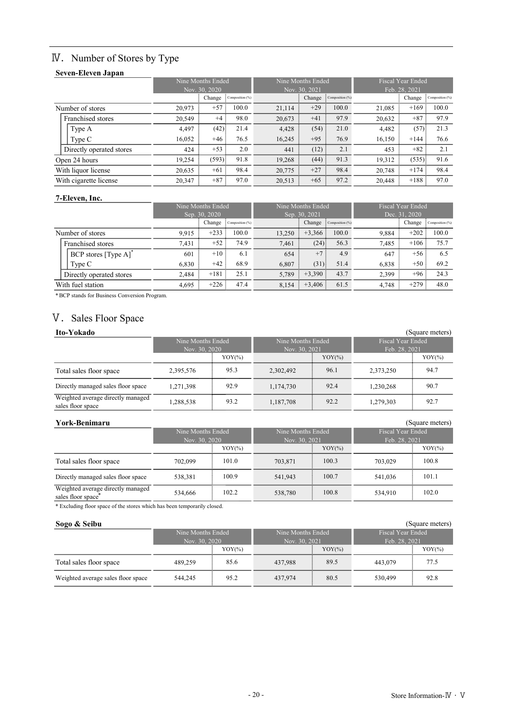## **IV.** Number of Stores by Type

### Seven-Eleven Japan

|                          |  |                                           | Nine Months Ended |       |                                           | Nine Months Ended |       | <b>Fiscal Year Ended</b><br>Feb. 28, 2021 |          |       |
|--------------------------|--|-------------------------------------------|-------------------|-------|-------------------------------------------|-------------------|-------|-------------------------------------------|----------|-------|
|                          |  | Nov. 30, 2020<br>Change : Composition (%) |                   |       | Nov. 30, 2021<br>Change : Composition (%) |                   |       | Change : Composition (%)                  |          |       |
| Number of stores         |  | 20,973                                    | $+57$             | 100.0 | 21,114                                    | $+29$             | 100.0 | 21,085                                    | $+169$   | 100.0 |
| Franchised stores        |  | 20,549                                    | $+4$              | 98.0  | 20,673                                    | $+41$             | 97.9  | 20,632                                    | $+87$    | 97.9  |
| Type A                   |  | 4,497                                     | (42)              | 21.4  | 4,428                                     | (54)              | 21.0  | 4,482                                     | $(57)$ : | 21.3  |
| Type C                   |  | 16,052                                    | $+46$             | 76.5  | 16,245                                    | $+95$             | 76.9  | 16,150                                    | $+144$   | 76.6  |
| Directly operated stores |  | 424                                       | $+53$             | 2.0   | 441                                       | $(12)$ :          | 2.1   | 453                                       | $+82$    | 2.1   |
| Open 24 hours            |  | 19,254                                    | (593)             | 91.8  | 19,268                                    | $(44)$ :          | 91.3  | 19,312                                    | (535)    | 91.6  |
| With liquor license      |  | 20,635                                    | $+61$             | 98.4  | 20,775                                    | $+27$             | 98.4  | 20,748                                    | $+174$   | 98.4  |
| With cigarette license   |  | 20,347                                    | $+87$             | 97.0  | 20,513                                    | $+65$             | 97.2  | 20,448                                    | $+188$   | 97.0  |

#### 7-Eleven, Inc.

|                   |                          |                           | Nine Months Ended |       |        | Nine Months Ended      |       | <b>Fiscal Year Ended</b> |                        |       |  |
|-------------------|--------------------------|---------------------------|-------------------|-------|--------|------------------------|-------|--------------------------|------------------------|-------|--|
|                   |                          |                           | Sep. 30, 2020     |       |        | Sep. 30, 2021          |       |                          | Dec. 31, 2020          |       |  |
|                   |                          | Change<br>Composition (%) |                   |       |        | Change Composition (%) |       |                          | Change Composition (%) |       |  |
| Number of stores  |                          | 9.915                     | $+233$            | 100.0 | 13,250 | $+3,366$               | 100.0 | 9.884                    | $+202$                 | 100.0 |  |
|                   | Franchised stores        | 7.431                     | $+52$             | 74.9  | 7.461  | $(24)$ :               | 56.3  | 7.485                    | $+106$                 | 75.7  |  |
|                   | BCP stores [Type A]      | 601                       | $+10:$            | 6.1   | 654    | $+7:$                  | 4.9   | 647                      | $+56$                  | 6.5   |  |
|                   | Type C                   | 6,830                     | $+42$ ;           | 68.9  | 6,807  | (31)                   | 51.4  | 6,838                    | $+50$                  | 69.2  |  |
|                   | Directly operated stores | 2,484                     | $+181$            | 25.1  | 5,789  | $+3,390$ :             | 43.7  | 2,399                    | $+96$                  | 24.3  |  |
| With fuel station |                          | 4.695                     | $+226:$           | 47.4  | 8.154  | $+3,406$               | 61.5  | 4.748                    | $+279:$                | 48.0  |  |

\*BCP stands for Business Conversion Program.

## V. Sales Floor Space

| Ito-Yokado                                             |                   |           |                   |           |                   | (Square meters) |
|--------------------------------------------------------|-------------------|-----------|-------------------|-----------|-------------------|-----------------|
|                                                        | Nine Months Ended |           | Nine Months Ended |           | Fiscal Year Ended |                 |
|                                                        | Nov. 30, 2020     |           | Nov. 30, 2021     |           | Feb. 28, 2021     |                 |
|                                                        |                   | $YOY(\%)$ |                   | $YOY(\%)$ |                   | $YOY$ (%)       |
| Total sales floor space                                | 2,395,576         | 95.3      | 2,302,492         | 96.1      | 2,373,250         | 94.7            |
| Directly managed sales floor space                     | 1.271.398         | 92.9      | 1,174,730         | 92.4      | 1.230.268         | 90.7            |
| Weighted average directly managed<br>sales floor space | 1,288,538         | 93.2      | 1,187,708         | 92.2      | 1,279,303         | 92.7            |

| York-Benimaru                                           |                                    |           |                                    |           |                                    | (Square meters) |
|---------------------------------------------------------|------------------------------------|-----------|------------------------------------|-----------|------------------------------------|-----------------|
|                                                         | Nine Months Ended<br>Nov. 30, 2020 |           | Nine Months Ended<br>Nov. 30, 2021 |           | Fiscal Year Ended<br>Feb. 28, 2021 |                 |
|                                                         |                                    |           |                                    |           |                                    |                 |
|                                                         |                                    | $YOY(\%)$ |                                    | $YOY(\%)$ |                                    | $YOY(\%)$       |
| Total sales floor space                                 | 702,099                            | 101.0     | 703.871                            | 100.3     | 703,029                            | 100.8           |
| Directly managed sales floor space                      | 538,381                            | 100.9     | 541,943                            | 100.7     | 541,036                            | 101.1           |
| Weighted average directly managed<br>sales floor space" | 534,666                            | 102.2     | 538,780                            | 100.8     | 534,910                            | 102.0           |

#### Sogo & Seibu (Square meters) (Square meters)

| sales floor space"                                                       | 224.000                            | 102.Z     | 238.780                            | 1 VV.O    | 334.YIU                                   | 102.0           |
|--------------------------------------------------------------------------|------------------------------------|-----------|------------------------------------|-----------|-------------------------------------------|-----------------|
| * Excluding floor space of the stores which has been temporarily closed. |                                    |           |                                    |           |                                           |                 |
| Sogo & Seibu                                                             |                                    |           |                                    |           |                                           | (Square meters) |
|                                                                          | Nine Months Ended<br>Nov. 30, 2020 |           | Nine Months Ended<br>Nov. 30, 2021 |           | <b>Fiscal Year Ended</b><br>Feb. 28, 2021 |                 |
|                                                                          |                                    |           |                                    |           |                                           |                 |
|                                                                          |                                    | $YOY(\%)$ |                                    | $YOY(\%)$ |                                           | $YOY(\%)$       |
| Total sales floor space                                                  | 489,259                            | 85.6      | 437,988                            | 89.5      | 443,079                                   | 77.5            |
| Weighted average sales floor space                                       | 544,245                            | 95.2      | 437,974                            | 80.5      | 530,499                                   | 92.8            |